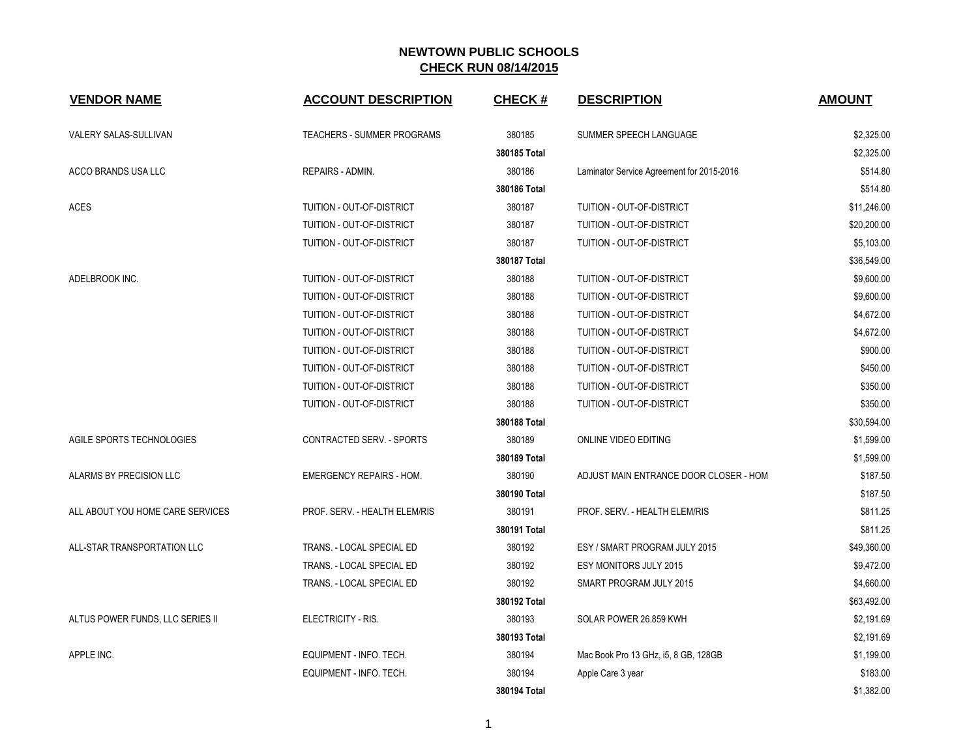| <b>VENDOR NAME</b>               | <b>ACCOUNT DESCRIPTION</b>        | <b>CHECK#</b> | <b>DESCRIPTION</b>                        | <b>AMOUNT</b> |
|----------------------------------|-----------------------------------|---------------|-------------------------------------------|---------------|
| VALERY SALAS-SULLIVAN            | <b>TEACHERS - SUMMER PROGRAMS</b> | 380185        | SUMMER SPEECH LANGUAGE                    | \$2,325.00    |
|                                  |                                   | 380185 Total  |                                           | \$2,325.00    |
| ACCO BRANDS USA LLC              | REPAIRS - ADMIN.                  | 380186        | Laminator Service Agreement for 2015-2016 | \$514.80      |
|                                  |                                   | 380186 Total  |                                           | \$514.80      |
| <b>ACES</b>                      | TUITION - OUT-OF-DISTRICT         | 380187        | TUITION - OUT-OF-DISTRICT                 | \$11,246.00   |
|                                  | <b>TUITION - OUT-OF-DISTRICT</b>  | 380187        | <b>TUITION - OUT-OF-DISTRICT</b>          | \$20,200.00   |
|                                  | TUITION - OUT-OF-DISTRICT         | 380187        | TUITION - OUT-OF-DISTRICT                 | \$5,103.00    |
|                                  |                                   | 380187 Total  |                                           | \$36,549.00   |
| ADELBROOK INC.                   | TUITION - OUT-OF-DISTRICT         | 380188        | TUITION - OUT-OF-DISTRICT                 | \$9,600.00    |
|                                  | TUITION - OUT-OF-DISTRICT         | 380188        | TUITION - OUT-OF-DISTRICT                 | \$9,600.00    |
|                                  | TUITION - OUT-OF-DISTRICT         | 380188        | TUITION - OUT-OF-DISTRICT                 | \$4,672.00    |
|                                  | <b>TUITION - OUT-OF-DISTRICT</b>  | 380188        | <b>TUITION - OUT-OF-DISTRICT</b>          | \$4,672.00    |
|                                  | TUITION - OUT-OF-DISTRICT         | 380188        | TUITION - OUT-OF-DISTRICT                 | \$900.00      |
|                                  | TUITION - OUT-OF-DISTRICT         | 380188        | TUITION - OUT-OF-DISTRICT                 | \$450.00      |
|                                  | TUITION - OUT-OF-DISTRICT         | 380188        | TUITION - OUT-OF-DISTRICT                 | \$350.00      |
|                                  | TUITION - OUT-OF-DISTRICT         | 380188        | TUITION - OUT-OF-DISTRICT                 | \$350.00      |
|                                  |                                   | 380188 Total  |                                           | \$30,594.00   |
| AGILE SPORTS TECHNOLOGIES        | CONTRACTED SERV. - SPORTS         | 380189        | ONLINE VIDEO EDITING                      | \$1,599.00    |
|                                  |                                   | 380189 Total  |                                           | \$1,599.00    |
| ALARMS BY PRECISION LLC          | <b>EMERGENCY REPAIRS - HOM.</b>   | 380190        | ADJUST MAIN ENTRANCE DOOR CLOSER - HOM    | \$187.50      |
|                                  |                                   | 380190 Total  |                                           | \$187.50      |
| ALL ABOUT YOU HOME CARE SERVICES | PROF. SERV. - HEALTH ELEM/RIS     | 380191        | PROF. SERV. - HEALTH ELEM/RIS             | \$811.25      |
|                                  |                                   | 380191 Total  |                                           | \$811.25      |
| ALL-STAR TRANSPORTATION LLC      | TRANS. - LOCAL SPECIAL ED         | 380192        | ESY / SMART PROGRAM JULY 2015             | \$49,360.00   |
|                                  | TRANS. - LOCAL SPECIAL ED         | 380192        | ESY MONITORS JULY 2015                    | \$9,472.00    |
|                                  | TRANS. - LOCAL SPECIAL ED         | 380192        | SMART PROGRAM JULY 2015                   | \$4,660.00    |
|                                  |                                   | 380192 Total  |                                           | \$63,492.00   |
| ALTUS POWER FUNDS, LLC SERIES II | ELECTRICITY - RIS.                | 380193        | SOLAR POWER 26.859 KWH                    | \$2,191.69    |
|                                  |                                   | 380193 Total  |                                           | \$2,191.69    |
| APPLE INC.                       | EQUIPMENT - INFO. TECH.           | 380194        | Mac Book Pro 13 GHz, i5, 8 GB, 128GB      | \$1,199.00    |
|                                  | EQUIPMENT - INFO. TECH.           | 380194        | Apple Care 3 year                         | \$183.00      |
|                                  |                                   | 380194 Total  |                                           | \$1,382.00    |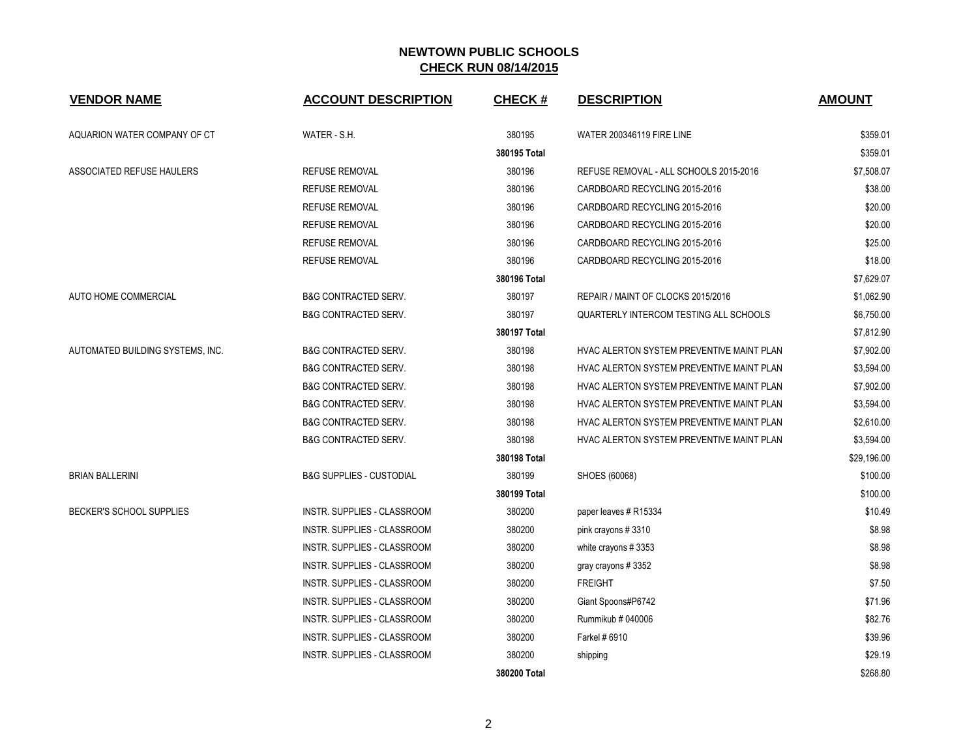| <b>VENDOR NAME</b>               | <b>ACCOUNT DESCRIPTION</b>          | <b>CHECK#</b> | <b>DESCRIPTION</b>                        | <b>AMOUNT</b> |
|----------------------------------|-------------------------------------|---------------|-------------------------------------------|---------------|
| AQUARION WATER COMPANY OF CT     | WATER - S.H.                        | 380195        | <b>WATER 200346119 FIRE LINE</b>          | \$359.01      |
|                                  |                                     | 380195 Total  |                                           | \$359.01      |
| ASSOCIATED REFUSE HAULERS        | <b>REFUSE REMOVAL</b>               | 380196        | REFUSE REMOVAL - ALL SCHOOLS 2015-2016    | \$7,508.07    |
|                                  | <b>REFUSE REMOVAL</b>               | 380196        | CARDBOARD RECYCLING 2015-2016             | \$38.00       |
|                                  | <b>REFUSE REMOVAL</b>               | 380196        | CARDBOARD RECYCLING 2015-2016             | \$20.00       |
|                                  | <b>REFUSE REMOVAL</b>               | 380196        | CARDBOARD RECYCLING 2015-2016             | \$20.00       |
|                                  | <b>REFUSE REMOVAL</b>               | 380196        | CARDBOARD RECYCLING 2015-2016             | \$25.00       |
|                                  | <b>REFUSE REMOVAL</b>               | 380196        | CARDBOARD RECYCLING 2015-2016             | \$18.00       |
|                                  |                                     | 380196 Total  |                                           | \$7,629.07    |
| AUTO HOME COMMERCIAL             | <b>B&amp;G CONTRACTED SERV.</b>     | 380197        | REPAIR / MAINT OF CLOCKS 2015/2016        | \$1,062.90    |
|                                  | <b>B&amp;G CONTRACTED SERV.</b>     | 380197        | QUARTERLY INTERCOM TESTING ALL SCHOOLS    | \$6,750.00    |
|                                  |                                     | 380197 Total  |                                           | \$7,812.90    |
| AUTOMATED BUILDING SYSTEMS, INC. | <b>B&amp;G CONTRACTED SERV.</b>     | 380198        | HVAC ALERTON SYSTEM PREVENTIVE MAINT PLAN | \$7,902.00    |
|                                  | <b>B&amp;G CONTRACTED SERV.</b>     | 380198        | HVAC ALERTON SYSTEM PREVENTIVE MAINT PLAN | \$3,594.00    |
|                                  | <b>B&amp;G CONTRACTED SERV.</b>     | 380198        | HVAC ALERTON SYSTEM PREVENTIVE MAINT PLAN | \$7,902.00    |
|                                  | <b>B&amp;G CONTRACTED SERV.</b>     | 380198        | HVAC ALERTON SYSTEM PREVENTIVE MAINT PLAN | \$3,594.00    |
|                                  | <b>B&amp;G CONTRACTED SERV.</b>     | 380198        | HVAC ALERTON SYSTEM PREVENTIVE MAINT PLAN | \$2,610.00    |
|                                  | <b>B&amp;G CONTRACTED SERV.</b>     | 380198        | HVAC ALERTON SYSTEM PREVENTIVE MAINT PLAN | \$3,594.00    |
|                                  |                                     | 380198 Total  |                                           | \$29,196.00   |
| <b>BRIAN BALLERINI</b>           | <b>B&amp;G SUPPLIES - CUSTODIAL</b> | 380199        | SHOES (60068)                             | \$100.00      |
|                                  |                                     | 380199 Total  |                                           | \$100.00      |
| BECKER'S SCHOOL SUPPLIES         | INSTR. SUPPLIES - CLASSROOM         | 380200        | paper leaves # R15334                     | \$10.49       |
|                                  | INSTR. SUPPLIES - CLASSROOM         | 380200        | pink crayons #3310                        | \$8.98        |
|                                  | INSTR. SUPPLIES - CLASSROOM         | 380200        | white crayons #3353                       | \$8.98        |
|                                  | <b>INSTR. SUPPLIES - CLASSROOM</b>  | 380200        | gray crayons #3352                        | \$8.98        |
|                                  | INSTR. SUPPLIES - CLASSROOM         | 380200        | <b>FREIGHT</b>                            | \$7.50        |
|                                  | INSTR. SUPPLIES - CLASSROOM         | 380200        | Giant Spoons#P6742                        | \$71.96       |
|                                  | INSTR. SUPPLIES - CLASSROOM         | 380200        | Rummikub # 040006                         | \$82.76       |
|                                  | <b>INSTR. SUPPLIES - CLASSROOM</b>  | 380200        | Farkel # 6910                             | \$39.96       |
|                                  | <b>INSTR. SUPPLIES - CLASSROOM</b>  | 380200        | shipping                                  | \$29.19       |
|                                  |                                     | 380200 Total  |                                           | \$268.80      |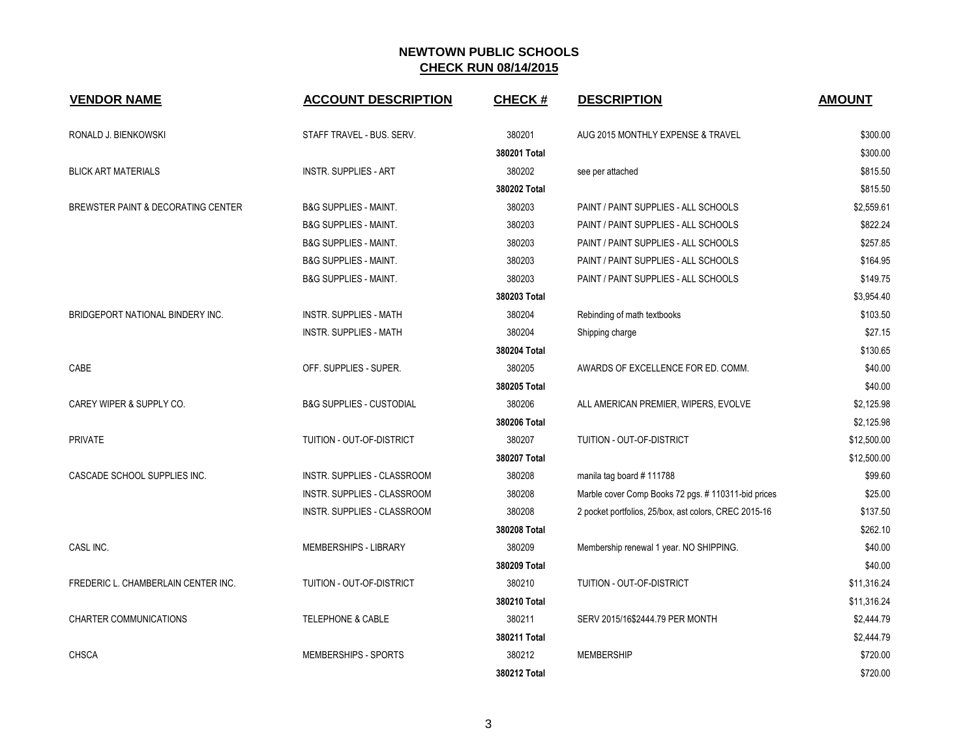| <b>VENDOR NAME</b>                  | <b>ACCOUNT DESCRIPTION</b>          | <b>CHECK#</b> | <b>DESCRIPTION</b>                                    | <b>AMOUNT</b> |
|-------------------------------------|-------------------------------------|---------------|-------------------------------------------------------|---------------|
| RONALD J. BIENKOWSKI                | STAFF TRAVEL - BUS. SERV.           | 380201        | AUG 2015 MONTHLY EXPENSE & TRAVEL                     | \$300.00      |
|                                     |                                     | 380201 Total  |                                                       | \$300.00      |
| <b>BLICK ART MATERIALS</b>          | <b>INSTR. SUPPLIES - ART</b>        | 380202        | see per attached                                      | \$815.50      |
|                                     |                                     | 380202 Total  |                                                       | \$815.50      |
| BREWSTER PAINT & DECORATING CENTER  | <b>B&amp;G SUPPLIES - MAINT.</b>    | 380203        | PAINT / PAINT SUPPLIES - ALL SCHOOLS                  | \$2,559.61    |
|                                     | <b>B&amp;G SUPPLIES - MAINT.</b>    | 380203        | PAINT / PAINT SUPPLIES - ALL SCHOOLS                  | \$822.24      |
|                                     | <b>B&amp;G SUPPLIES - MAINT.</b>    | 380203        | PAINT / PAINT SUPPLIES - ALL SCHOOLS                  | \$257.85      |
|                                     | <b>B&amp;G SUPPLIES - MAINT.</b>    | 380203        | PAINT / PAINT SUPPLIES - ALL SCHOOLS                  | \$164.95      |
|                                     | <b>B&amp;G SUPPLIES - MAINT.</b>    | 380203        | PAINT / PAINT SUPPLIES - ALL SCHOOLS                  | \$149.75      |
|                                     |                                     | 380203 Total  |                                                       | \$3,954.40    |
| BRIDGEPORT NATIONAL BINDERY INC.    | <b>INSTR. SUPPLIES - MATH</b>       | 380204        | Rebinding of math textbooks                           | \$103.50      |
|                                     | <b>INSTR. SUPPLIES - MATH</b>       | 380204        | Shipping charge                                       | \$27.15       |
|                                     |                                     | 380204 Total  |                                                       | \$130.65      |
| CABE                                | OFF. SUPPLIES - SUPER.              | 380205        | AWARDS OF EXCELLENCE FOR ED. COMM.                    | \$40.00       |
|                                     |                                     | 380205 Total  |                                                       | \$40.00       |
| CAREY WIPER & SUPPLY CO.            | <b>B&amp;G SUPPLIES - CUSTODIAL</b> | 380206        | ALL AMERICAN PREMIER, WIPERS, EVOLVE                  | \$2,125.98    |
|                                     |                                     | 380206 Total  |                                                       | \$2,125.98    |
| PRIVATE                             | TUITION - OUT-OF-DISTRICT           | 380207        | TUITION - OUT-OF-DISTRICT                             | \$12,500.00   |
|                                     |                                     | 380207 Total  |                                                       | \$12,500.00   |
| CASCADE SCHOOL SUPPLIES INC.        | INSTR. SUPPLIES - CLASSROOM         | 380208        | manila tag board #111788                              | \$99.60       |
|                                     | INSTR. SUPPLIES - CLASSROOM         | 380208        | Marble cover Comp Books 72 pgs. # 110311-bid prices   | \$25.00       |
|                                     | INSTR. SUPPLIES - CLASSROOM         | 380208        | 2 pocket portfolios, 25/box, ast colors, CREC 2015-16 | \$137.50      |
|                                     |                                     | 380208 Total  |                                                       | \$262.10      |
| CASL INC.                           | MEMBERSHIPS - LIBRARY               | 380209        | Membership renewal 1 year. NO SHIPPING.               | \$40.00       |
|                                     |                                     | 380209 Total  |                                                       | \$40.00       |
| FREDERIC L. CHAMBERLAIN CENTER INC. | TUITION - OUT-OF-DISTRICT           | 380210        | TUITION - OUT-OF-DISTRICT                             | \$11,316.24   |
|                                     |                                     | 380210 Total  |                                                       | \$11,316.24   |
| <b>CHARTER COMMUNICATIONS</b>       | <b>TELEPHONE &amp; CABLE</b>        | 380211        | SERV 2015/16\$2444.79 PER MONTH                       | \$2,444.79    |
|                                     |                                     | 380211 Total  |                                                       | \$2,444.79    |
| <b>CHSCA</b>                        | <b>MEMBERSHIPS - SPORTS</b>         | 380212        | <b>MEMBERSHIP</b>                                     | \$720.00      |
|                                     |                                     | 380212 Total  |                                                       | \$720.00      |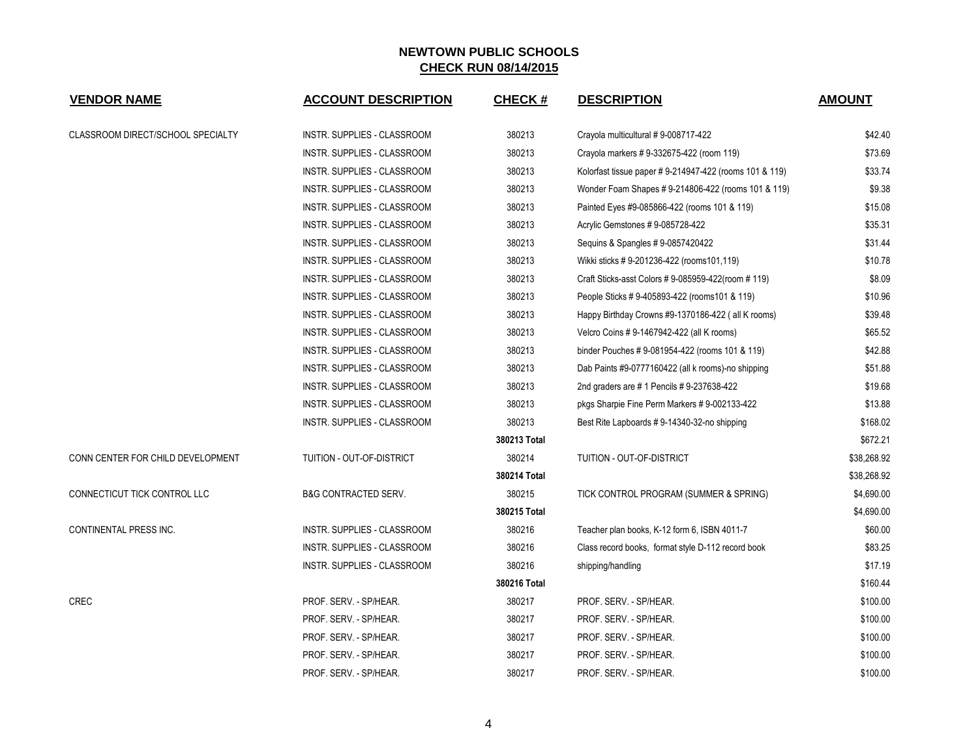| <b>VENDOR NAME</b>                | <b>ACCOUNT DESCRIPTION</b>         | <b>CHECK#</b> | <b>DESCRIPTION</b>                                     | <b>AMOUNT</b> |
|-----------------------------------|------------------------------------|---------------|--------------------------------------------------------|---------------|
| CLASSROOM DIRECT/SCHOOL SPECIALTY | INSTR. SUPPLIES - CLASSROOM        | 380213        | Crayola multicultural #9-008717-422                    | \$42.40       |
|                                   | INSTR. SUPPLIES - CLASSROOM        | 380213        | Crayola markers #9-332675-422 (room 119)               | \$73.69       |
|                                   | INSTR. SUPPLIES - CLASSROOM        | 380213        | Kolorfast tissue paper #9-214947-422 (rooms 101 & 119) | \$33.74       |
|                                   | <b>INSTR. SUPPLIES - CLASSROOM</b> | 380213        | Wonder Foam Shapes # 9-214806-422 (rooms 101 & 119)    | \$9.38        |
|                                   | <b>INSTR. SUPPLIES - CLASSROOM</b> | 380213        | Painted Eyes #9-085866-422 (rooms 101 & 119)           | \$15.08       |
|                                   | INSTR. SUPPLIES - CLASSROOM        | 380213        | Acrylic Gemstones # 9-085728-422                       | \$35.31       |
|                                   | INSTR. SUPPLIES - CLASSROOM        | 380213        | Sequins & Spangles # 9-0857420422                      | \$31.44       |
|                                   | INSTR. SUPPLIES - CLASSROOM        | 380213        | Wikki sticks #9-201236-422 (rooms101,119)              | \$10.78       |
|                                   | INSTR. SUPPLIES - CLASSROOM        | 380213        | Craft Sticks-asst Colors # 9-085959-422(room # 119)    | \$8.09        |
|                                   | INSTR. SUPPLIES - CLASSROOM        | 380213        | People Sticks #9-405893-422 (rooms101 & 119)           | \$10.96       |
|                                   | INSTR. SUPPLIES - CLASSROOM        | 380213        | Happy Birthday Crowns #9-1370186-422 (all K rooms)     | \$39.48       |
|                                   | INSTR. SUPPLIES - CLASSROOM        | 380213        | Velcro Coins # 9-1467942-422 (all K rooms)             | \$65.52       |
|                                   | INSTR. SUPPLIES - CLASSROOM        | 380213        | binder Pouches # 9-081954-422 (rooms 101 & 119)        | \$42.88       |
|                                   | INSTR. SUPPLIES - CLASSROOM        | 380213        | Dab Paints #9-0777160422 (all k rooms)-no shipping     | \$51.88       |
|                                   | INSTR. SUPPLIES - CLASSROOM        | 380213        | 2nd graders are #1 Pencils #9-237638-422               | \$19.68       |
|                                   | INSTR. SUPPLIES - CLASSROOM        | 380213        | pkgs Sharpie Fine Perm Markers # 9-002133-422          | \$13.88       |
|                                   | INSTR. SUPPLIES - CLASSROOM        | 380213        | Best Rite Lapboards # 9-14340-32-no shipping           | \$168.02      |
|                                   |                                    | 380213 Total  |                                                        | \$672.21      |
| CONN CENTER FOR CHILD DEVELOPMENT | TUITION - OUT-OF-DISTRICT          | 380214        | TUITION - OUT-OF-DISTRICT                              | \$38,268.92   |
|                                   |                                    | 380214 Total  |                                                        | \$38,268.92   |
| CONNECTICUT TICK CONTROL LLC      | <b>B&amp;G CONTRACTED SERV.</b>    | 380215        | TICK CONTROL PROGRAM (SUMMER & SPRING)                 | \$4,690.00    |
|                                   |                                    | 380215 Total  |                                                        | \$4,690.00    |
| CONTINENTAL PRESS INC.            | INSTR. SUPPLIES - CLASSROOM        | 380216        | Teacher plan books, K-12 form 6, ISBN 4011-7           | \$60.00       |
|                                   | INSTR. SUPPLIES - CLASSROOM        | 380216        | Class record books, format style D-112 record book     | \$83.25       |
|                                   | INSTR. SUPPLIES - CLASSROOM        | 380216        | shipping/handling                                      | \$17.19       |
|                                   |                                    | 380216 Total  |                                                        | \$160.44      |
| <b>CREC</b>                       | PROF. SERV. - SP/HEAR.             | 380217        | PROF. SERV. - SP/HEAR.                                 | \$100.00      |
|                                   | PROF. SERV. - SP/HEAR.             | 380217        | PROF. SERV. - SP/HEAR.                                 | \$100.00      |
|                                   | PROF. SERV. - SP/HEAR.             | 380217        | PROF. SERV. - SP/HEAR.                                 | \$100.00      |
|                                   | PROF. SERV. - SP/HEAR.             | 380217        | PROF. SERV. - SP/HEAR.                                 | \$100.00      |
|                                   | PROF. SERV. - SP/HEAR.             | 380217        | PROF. SERV. - SP/HEAR.                                 | \$100.00      |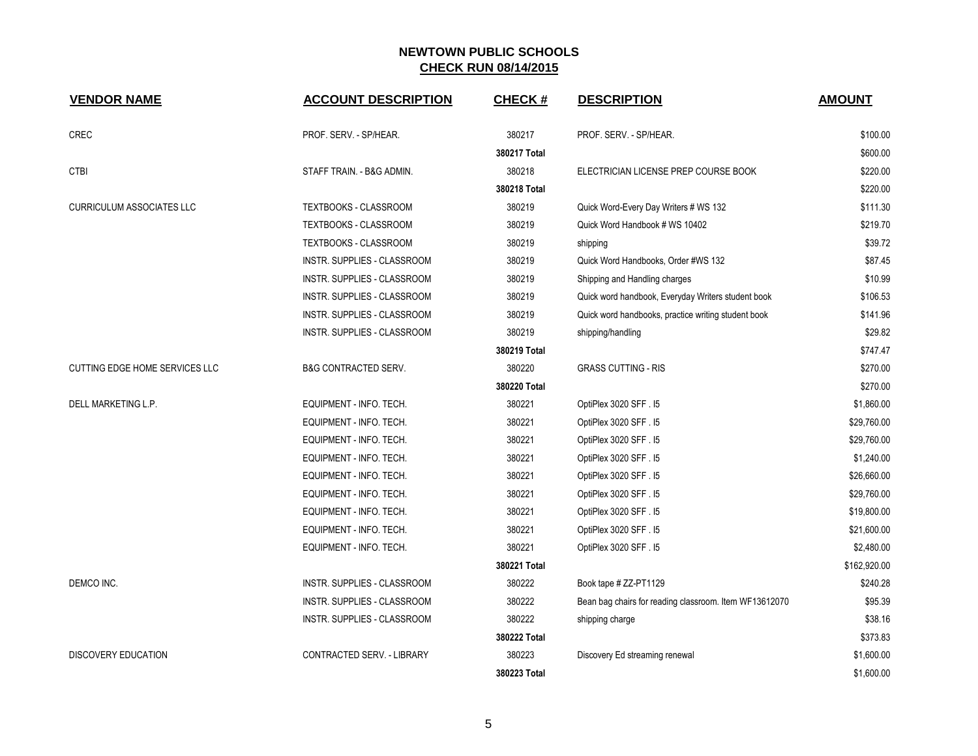| <b>VENDOR NAME</b>               | <b>ACCOUNT DESCRIPTION</b>         | CHECK #      | <b>DESCRIPTION</b>                                     | <b>AMOUNT</b> |
|----------------------------------|------------------------------------|--------------|--------------------------------------------------------|---------------|
| <b>CREC</b>                      | PROF. SERV. - SP/HEAR.             | 380217       | PROF. SERV. - SP/HEAR.                                 | \$100.00      |
|                                  |                                    | 380217 Total |                                                        | \$600.00      |
| <b>CTBI</b>                      | STAFF TRAIN. - B&G ADMIN.          | 380218       | ELECTRICIAN LICENSE PREP COURSE BOOK                   | \$220.00      |
|                                  |                                    | 380218 Total |                                                        | \$220.00      |
| <b>CURRICULUM ASSOCIATES LLC</b> | <b>TEXTBOOKS - CLASSROOM</b>       | 380219       | Quick Word-Every Day Writers # WS 132                  | \$111.30      |
|                                  | TEXTBOOKS - CLASSROOM              | 380219       | Quick Word Handbook # WS 10402                         | \$219.70      |
|                                  | TEXTBOOKS - CLASSROOM              | 380219       | shipping                                               | \$39.72       |
|                                  | INSTR. SUPPLIES - CLASSROOM        | 380219       | Quick Word Handbooks, Order #WS 132                    | \$87.45       |
|                                  | INSTR. SUPPLIES - CLASSROOM        | 380219       | Shipping and Handling charges                          | \$10.99       |
|                                  | INSTR. SUPPLIES - CLASSROOM        | 380219       | Quick word handbook, Everyday Writers student book     | \$106.53      |
|                                  | INSTR. SUPPLIES - CLASSROOM        | 380219       | Quick word handbooks, practice writing student book    | \$141.96      |
|                                  | INSTR. SUPPLIES - CLASSROOM        | 380219       | shipping/handling                                      | \$29.82       |
|                                  |                                    | 380219 Total |                                                        | \$747.47      |
| CUTTING EDGE HOME SERVICES LLC   | <b>B&amp;G CONTRACTED SERV.</b>    | 380220       | <b>GRASS CUTTING - RIS</b>                             | \$270.00      |
|                                  |                                    | 380220 Total |                                                        | \$270.00      |
| DELL MARKETING L.P.              | EQUIPMENT - INFO. TECH.            | 380221       | OptiPlex 3020 SFF . I5                                 | \$1,860.00    |
|                                  | EQUIPMENT - INFO. TECH.            | 380221       | OptiPlex 3020 SFF. I5                                  | \$29,760.00   |
|                                  | EQUIPMENT - INFO. TECH.            | 380221       | OptiPlex 3020 SFF . I5                                 | \$29,760.00   |
|                                  | EQUIPMENT - INFO. TECH.            | 380221       | OptiPlex 3020 SFF. 15                                  | \$1,240.00    |
|                                  | EQUIPMENT - INFO. TECH.            | 380221       | OptiPlex 3020 SFF . I5                                 | \$26,660.00   |
|                                  | EQUIPMENT - INFO. TECH.            | 380221       | OptiPlex 3020 SFF . 15                                 | \$29,760.00   |
|                                  | EQUIPMENT - INFO. TECH.            | 380221       | OptiPlex 3020 SFF . I5                                 | \$19,800.00   |
|                                  | EQUIPMENT - INFO. TECH.            | 380221       | OptiPlex 3020 SFF. I5                                  | \$21,600.00   |
|                                  | EQUIPMENT - INFO. TECH.            | 380221       | OptiPlex 3020 SFF . I5                                 | \$2,480.00    |
|                                  |                                    | 380221 Total |                                                        | \$162,920.00  |
| DEMCO INC.                       | <b>INSTR. SUPPLIES - CLASSROOM</b> | 380222       | Book tape # ZZ-PT1129                                  | \$240.28      |
|                                  | INSTR. SUPPLIES - CLASSROOM        | 380222       | Bean bag chairs for reading classroom. Item WF13612070 | \$95.39       |
|                                  | INSTR. SUPPLIES - CLASSROOM        | 380222       | shipping charge                                        | \$38.16       |
|                                  |                                    | 380222 Total |                                                        | \$373.83      |
| <b>DISCOVERY EDUCATION</b>       | CONTRACTED SERV. - LIBRARY         | 380223       | Discovery Ed streaming renewal                         | \$1,600.00    |
|                                  |                                    | 380223 Total |                                                        | \$1,600.00    |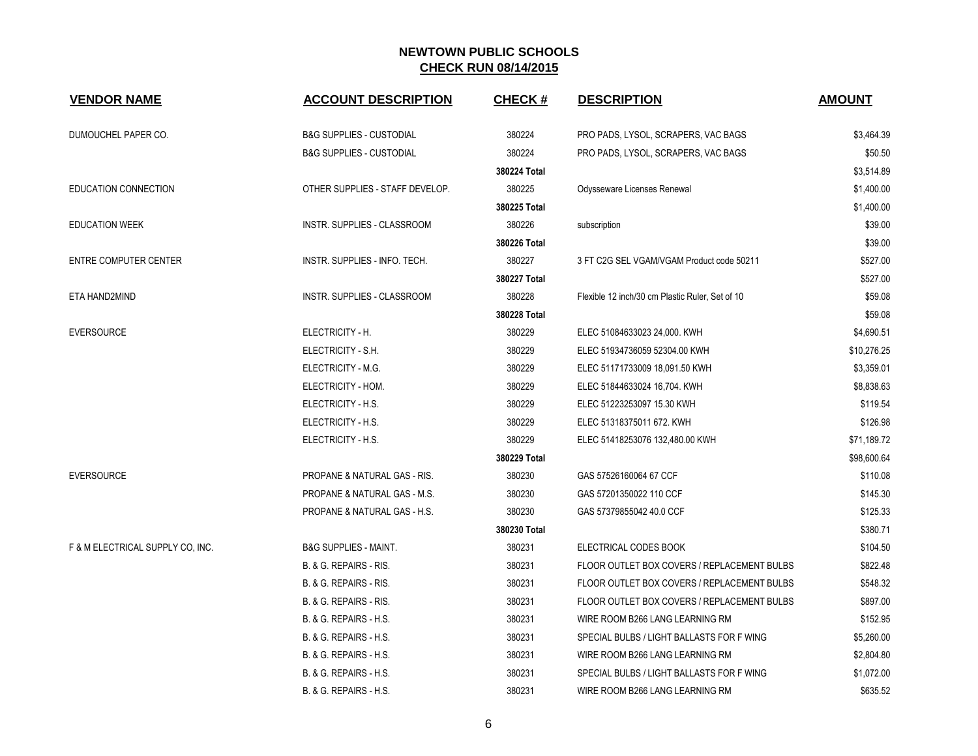| <b>VENDOR NAME</b>               | <b>ACCOUNT DESCRIPTION</b>              | <b>CHECK#</b> | <b>DESCRIPTION</b>                              | <b>AMOUNT</b> |
|----------------------------------|-----------------------------------------|---------------|-------------------------------------------------|---------------|
| DUMOUCHEL PAPER CO.              | <b>B&amp;G SUPPLIES - CUSTODIAL</b>     | 380224        | PRO PADS, LYSOL, SCRAPERS, VAC BAGS             | \$3,464.39    |
|                                  | <b>B&amp;G SUPPLIES - CUSTODIAL</b>     | 380224        | PRO PADS, LYSOL, SCRAPERS, VAC BAGS             | \$50.50       |
|                                  |                                         | 380224 Total  |                                                 | \$3,514.89    |
| <b>EDUCATION CONNECTION</b>      | OTHER SUPPLIES - STAFF DEVELOP.         | 380225        | Odysseware Licenses Renewal                     | \$1,400.00    |
|                                  |                                         | 380225 Total  |                                                 | \$1,400.00    |
| <b>EDUCATION WEEK</b>            | INSTR. SUPPLIES - CLASSROOM             | 380226        | subscription                                    | \$39.00       |
|                                  |                                         | 380226 Total  |                                                 | \$39.00       |
| <b>ENTRE COMPUTER CENTER</b>     | INSTR. SUPPLIES - INFO. TECH.           | 380227        | 3 FT C2G SEL VGAM/VGAM Product code 50211       | \$527.00      |
|                                  |                                         | 380227 Total  |                                                 | \$527.00      |
| ETA HAND2MIND                    | INSTR. SUPPLIES - CLASSROOM             | 380228        | Flexible 12 inch/30 cm Plastic Ruler, Set of 10 | \$59.08       |
|                                  |                                         | 380228 Total  |                                                 | \$59.08       |
| <b>EVERSOURCE</b>                | ELECTRICITY - H.                        | 380229        | ELEC 51084633023 24,000. KWH                    | \$4,690.51    |
|                                  | ELECTRICITY - S.H.                      | 380229        | ELEC 51934736059 52304.00 KWH                   | \$10,276.25   |
|                                  | ELECTRICITY - M.G.                      | 380229        | ELEC 51171733009 18,091.50 KWH                  | \$3,359.01    |
|                                  | ELECTRICITY - HOM.                      | 380229        | ELEC 51844633024 16,704. KWH                    | \$8,838.63    |
|                                  | ELECTRICITY - H.S.                      | 380229        | ELEC 51223253097 15.30 KWH                      | \$119.54      |
|                                  | ELECTRICITY - H.S.                      | 380229        | ELEC 51318375011 672. KWH                       | \$126.98      |
|                                  | ELECTRICITY - H.S.                      | 380229        | ELEC 51418253076 132,480.00 KWH                 | \$71,189.72   |
|                                  |                                         | 380229 Total  |                                                 | \$98,600.64   |
| <b>EVERSOURCE</b>                | <b>PROPANE &amp; NATURAL GAS - RIS.</b> | 380230        | GAS 57526160064 67 CCF                          | \$110.08      |
|                                  | PROPANE & NATURAL GAS - M.S.            | 380230        | GAS 57201350022 110 CCF                         | \$145.30      |
|                                  | PROPANE & NATURAL GAS - H.S.            | 380230        | GAS 57379855042 40.0 CCF                        | \$125.33      |
|                                  |                                         | 380230 Total  |                                                 | \$380.71      |
| F & M ELECTRICAL SUPPLY CO. INC. | <b>B&amp;G SUPPLIES - MAINT.</b>        | 380231        | ELECTRICAL CODES BOOK                           | \$104.50      |
|                                  | B. & G. REPAIRS - RIS.                  | 380231        | FLOOR OUTLET BOX COVERS / REPLACEMENT BULBS     | \$822.48      |
|                                  | B. & G. REPAIRS - RIS.                  | 380231        | FLOOR OUTLET BOX COVERS / REPLACEMENT BULBS     | \$548.32      |
|                                  | B. & G. REPAIRS - RIS.                  | 380231        | FLOOR OUTLET BOX COVERS / REPLACEMENT BULBS     | \$897.00      |
|                                  | B. & G. REPAIRS - H.S.                  | 380231        | WIRE ROOM B266 LANG LEARNING RM                 | \$152.95      |
|                                  | B. & G. REPAIRS - H.S.                  | 380231        | SPECIAL BULBS / LIGHT BALLASTS FOR F WING       | \$5,260.00    |
|                                  | B. & G. REPAIRS - H.S.                  | 380231        | WIRE ROOM B266 LANG LEARNING RM                 | \$2,804.80    |
|                                  | B. & G. REPAIRS - H.S.                  | 380231        | SPECIAL BULBS / LIGHT BALLASTS FOR F WING       | \$1,072.00    |
|                                  | B. & G. REPAIRS - H.S.                  | 380231        | WIRE ROOM B266 LANG LEARNING RM                 | \$635.52      |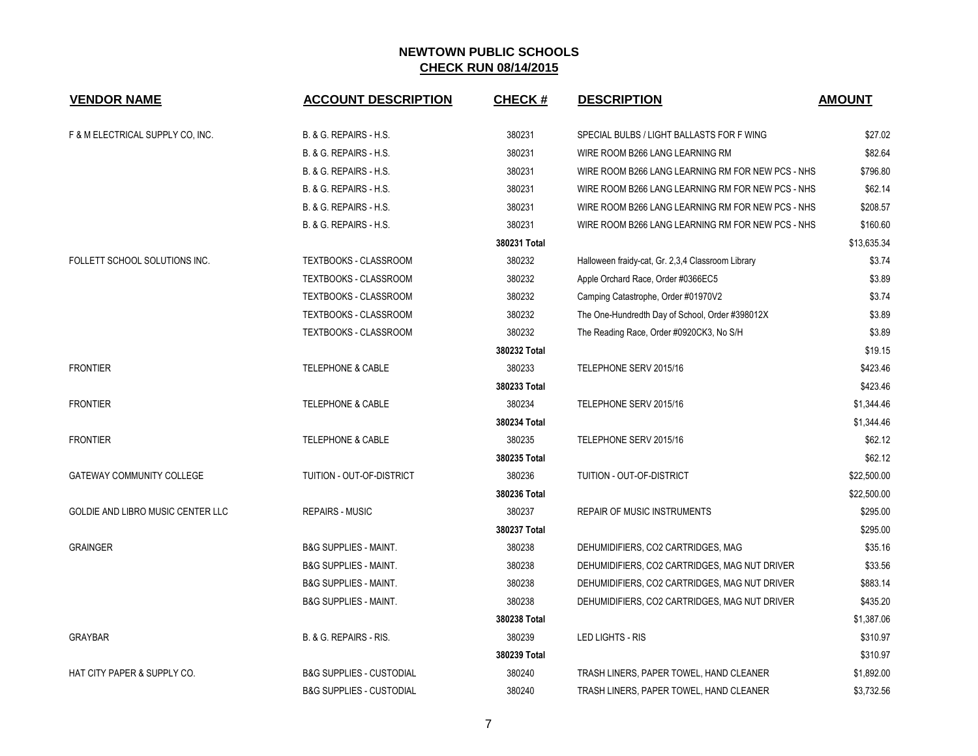| <b>VENDOR NAME</b>                | <b>ACCOUNT DESCRIPTION</b>          | <b>CHECK#</b> | <b>DESCRIPTION</b>                                | <b>AMOUNT</b> |
|-----------------------------------|-------------------------------------|---------------|---------------------------------------------------|---------------|
| F & M ELECTRICAL SUPPLY CO, INC.  | B. & G. REPAIRS - H.S.              | 380231        | SPECIAL BULBS / LIGHT BALLASTS FOR F WING         | \$27.02       |
|                                   | B. & G. REPAIRS - H.S.              | 380231        | WIRE ROOM B266 LANG LEARNING RM                   | \$82.64       |
|                                   | B. & G. REPAIRS - H.S.              | 380231        | WIRE ROOM B266 LANG LEARNING RM FOR NEW PCS - NHS | \$796.80      |
|                                   | B. & G. REPAIRS - H.S.              | 380231        | WIRE ROOM B266 LANG LEARNING RM FOR NEW PCS - NHS | \$62.14       |
|                                   | B. & G. REPAIRS - H.S.              | 380231        | WIRE ROOM B266 LANG LEARNING RM FOR NEW PCS - NHS | \$208.57      |
|                                   | B. & G. REPAIRS - H.S.              | 380231        | WIRE ROOM B266 LANG LEARNING RM FOR NEW PCS - NHS | \$160.60      |
|                                   |                                     | 380231 Total  |                                                   | \$13,635.34   |
| FOLLETT SCHOOL SOLUTIONS INC.     | <b>TEXTBOOKS - CLASSROOM</b>        | 380232        | Halloween fraidy-cat, Gr. 2,3,4 Classroom Library | \$3.74        |
|                                   | TEXTBOOKS - CLASSROOM               | 380232        | Apple Orchard Race, Order #0366EC5                | \$3.89        |
|                                   | TEXTBOOKS - CLASSROOM               | 380232        | Camping Catastrophe, Order #01970V2               | \$3.74        |
|                                   | TEXTBOOKS - CLASSROOM               | 380232        | The One-Hundredth Day of School, Order #398012X   | \$3.89        |
|                                   | TEXTBOOKS - CLASSROOM               | 380232        | The Reading Race, Order #0920CK3, No S/H          | \$3.89        |
|                                   |                                     | 380232 Total  |                                                   | \$19.15       |
| <b>FRONTIER</b>                   | <b>TELEPHONE &amp; CABLE</b>        | 380233        | TELEPHONE SERV 2015/16                            | \$423.46      |
|                                   |                                     | 380233 Total  |                                                   | \$423.46      |
| <b>FRONTIER</b>                   | <b>TELEPHONE &amp; CABLE</b>        | 380234        | TELEPHONE SERV 2015/16                            | \$1,344.46    |
|                                   |                                     | 380234 Total  |                                                   | \$1,344.46    |
| <b>FRONTIER</b>                   | <b>TELEPHONE &amp; CABLE</b>        | 380235        | TELEPHONE SERV 2015/16                            | \$62.12       |
|                                   |                                     | 380235 Total  |                                                   | \$62.12       |
| <b>GATEWAY COMMUNITY COLLEGE</b>  | <b>TUITION - OUT-OF-DISTRICT</b>    | 380236        | <b>TUITION - OUT-OF-DISTRICT</b>                  | \$22,500.00   |
|                                   |                                     | 380236 Total  |                                                   | \$22,500.00   |
| GOLDIE AND LIBRO MUSIC CENTER LLC | <b>REPAIRS - MUSIC</b>              | 380237        | <b>REPAIR OF MUSIC INSTRUMENTS</b>                | \$295.00      |
|                                   |                                     | 380237 Total  |                                                   | \$295.00      |
| <b>GRAINGER</b>                   | <b>B&amp;G SUPPLIES - MAINT.</b>    | 380238        | DEHUMIDIFIERS, CO2 CARTRIDGES, MAG                | \$35.16       |
|                                   | <b>B&amp;G SUPPLIES - MAINT.</b>    | 380238        | DEHUMIDIFIERS, CO2 CARTRIDGES, MAG NUT DRIVER     | \$33.56       |
|                                   | <b>B&amp;G SUPPLIES - MAINT.</b>    | 380238        | DEHUMIDIFIERS, CO2 CARTRIDGES, MAG NUT DRIVER     | \$883.14      |
|                                   | <b>B&amp;G SUPPLIES - MAINT.</b>    | 380238        | DEHUMIDIFIERS, CO2 CARTRIDGES, MAG NUT DRIVER     | \$435.20      |
|                                   |                                     | 380238 Total  |                                                   | \$1,387.06    |
| <b>GRAYBAR</b>                    | B. & G. REPAIRS - RIS.              | 380239        | <b>LED LIGHTS - RIS</b>                           | \$310.97      |
|                                   |                                     | 380239 Total  |                                                   | \$310.97      |
| HAT CITY PAPER & SUPPLY CO.       | <b>B&amp;G SUPPLIES - CUSTODIAL</b> | 380240        | TRASH LINERS, PAPER TOWEL, HAND CLEANER           | \$1,892.00    |
|                                   | <b>B&amp;G SUPPLIES - CUSTODIAL</b> | 380240        | TRASH LINERS, PAPER TOWEL, HAND CLEANER           | \$3,732.56    |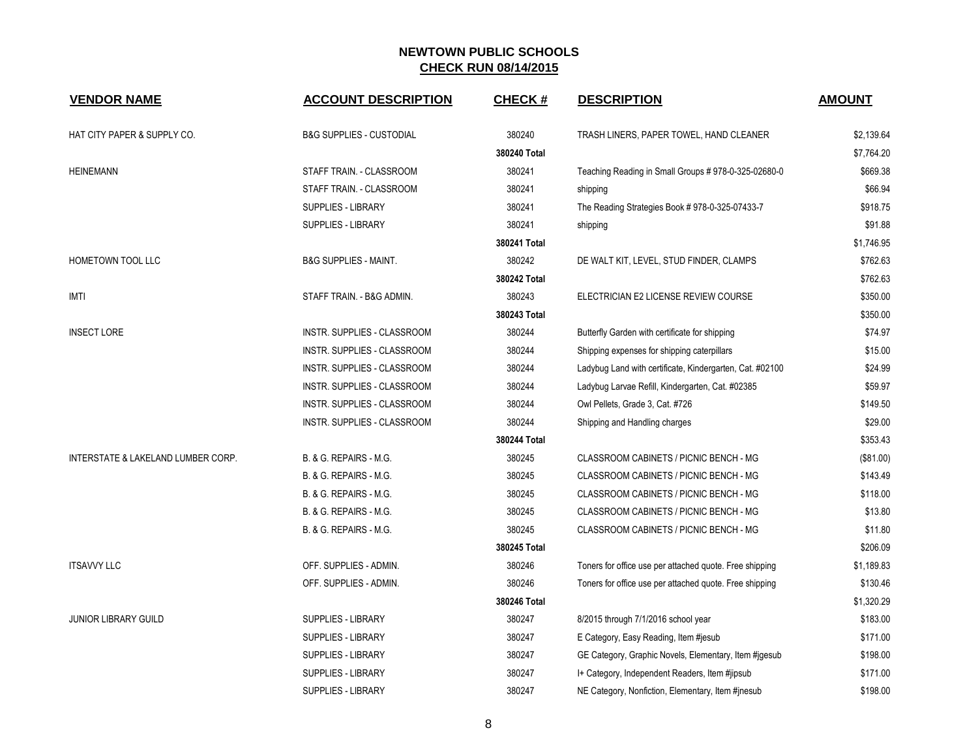| <b>VENDOR NAME</b>                 | <b>ACCOUNT DESCRIPTION</b>          | <b>CHECK#</b> | <b>DESCRIPTION</b>                                       | <b>AMOUNT</b> |
|------------------------------------|-------------------------------------|---------------|----------------------------------------------------------|---------------|
| HAT CITY PAPER & SUPPLY CO.        | <b>B&amp;G SUPPLIES - CUSTODIAL</b> | 380240        | TRASH LINERS, PAPER TOWEL, HAND CLEANER                  | \$2,139.64    |
|                                    |                                     | 380240 Total  |                                                          | \$7,764.20    |
| <b>HEINEMANN</b>                   | STAFF TRAIN. - CLASSROOM            | 380241        | Teaching Reading in Small Groups # 978-0-325-02680-0     | \$669.38      |
|                                    | STAFF TRAIN. - CLASSROOM            | 380241        | shipping                                                 | \$66.94       |
|                                    | SUPPLIES - LIBRARY                  | 380241        | The Reading Strategies Book #978-0-325-07433-7           | \$918.75      |
|                                    | SUPPLIES - LIBRARY                  | 380241        | shipping                                                 | \$91.88       |
|                                    |                                     | 380241 Total  |                                                          | \$1,746.95    |
| <b>HOMETOWN TOOL LLC</b>           | <b>B&amp;G SUPPLIES - MAINT.</b>    | 380242        | DE WALT KIT, LEVEL, STUD FINDER, CLAMPS                  | \$762.63      |
|                                    |                                     | 380242 Total  |                                                          | \$762.63      |
| <b>IMTI</b>                        | STAFF TRAIN. - B&G ADMIN.           | 380243        | ELECTRICIAN E2 LICENSE REVIEW COURSE                     | \$350.00      |
|                                    |                                     | 380243 Total  |                                                          | \$350.00      |
| <b>INSECT LORE</b>                 | INSTR. SUPPLIES - CLASSROOM         | 380244        | Butterfly Garden with certificate for shipping           | \$74.97       |
|                                    | INSTR. SUPPLIES - CLASSROOM         | 380244        | Shipping expenses for shipping caterpillars              | \$15.00       |
|                                    | INSTR. SUPPLIES - CLASSROOM         | 380244        | Ladybug Land with certificate, Kindergarten, Cat. #02100 | \$24.99       |
|                                    | INSTR. SUPPLIES - CLASSROOM         | 380244        | Ladybug Larvae Refill, Kindergarten, Cat. #02385         | \$59.97       |
|                                    | <b>INSTR. SUPPLIES - CLASSROOM</b>  | 380244        | Owl Pellets, Grade 3, Cat. #726                          | \$149.50      |
|                                    | INSTR. SUPPLIES - CLASSROOM         | 380244        | Shipping and Handling charges                            | \$29.00       |
|                                    |                                     | 380244 Total  |                                                          | \$353.43      |
| INTERSTATE & LAKELAND LUMBER CORP. | B. & G. REPAIRS - M.G.              | 380245        | CLASSROOM CABINETS / PICNIC BENCH - MG                   | (\$81.00)     |
|                                    | B. & G. REPAIRS - M.G.              | 380245        | CLASSROOM CABINETS / PICNIC BENCH - MG                   | \$143.49      |
|                                    | B. & G. REPAIRS - M.G.              | 380245        | CLASSROOM CABINETS / PICNIC BENCH - MG                   | \$118.00      |
|                                    | B. & G. REPAIRS - M.G.              | 380245        | CLASSROOM CABINETS / PICNIC BENCH - MG                   | \$13.80       |
|                                    | B. & G. REPAIRS - M.G.              | 380245        | CLASSROOM CABINETS / PICNIC BENCH - MG                   | \$11.80       |
|                                    |                                     | 380245 Total  |                                                          | \$206.09      |
| <b>ITSAVVY LLC</b>                 | OFF. SUPPLIES - ADMIN.              | 380246        | Toners for office use per attached quote. Free shipping  | \$1,189.83    |
|                                    | OFF. SUPPLIES - ADMIN.              | 380246        | Toners for office use per attached quote. Free shipping  | \$130.46      |
|                                    |                                     | 380246 Total  |                                                          | \$1,320.29    |
| <b>JUNIOR LIBRARY GUILD</b>        | SUPPLIES - LIBRARY                  | 380247        | 8/2015 through 7/1/2016 school year                      | \$183.00      |
|                                    | SUPPLIES - LIBRARY                  | 380247        | E Category, Easy Reading, Item #jesub                    | \$171.00      |
|                                    | <b>SUPPLIES - LIBRARY</b>           | 380247        | GE Category, Graphic Novels, Elementary, Item #jgesub    | \$198.00      |
|                                    | <b>SUPPLIES - LIBRARY</b>           | 380247        | I+ Category, Independent Readers, Item #jipsub           | \$171.00      |
|                                    | SUPPLIES - LIBRARY                  | 380247        | NE Category, Nonfiction, Elementary, Item #jnesub        | \$198.00      |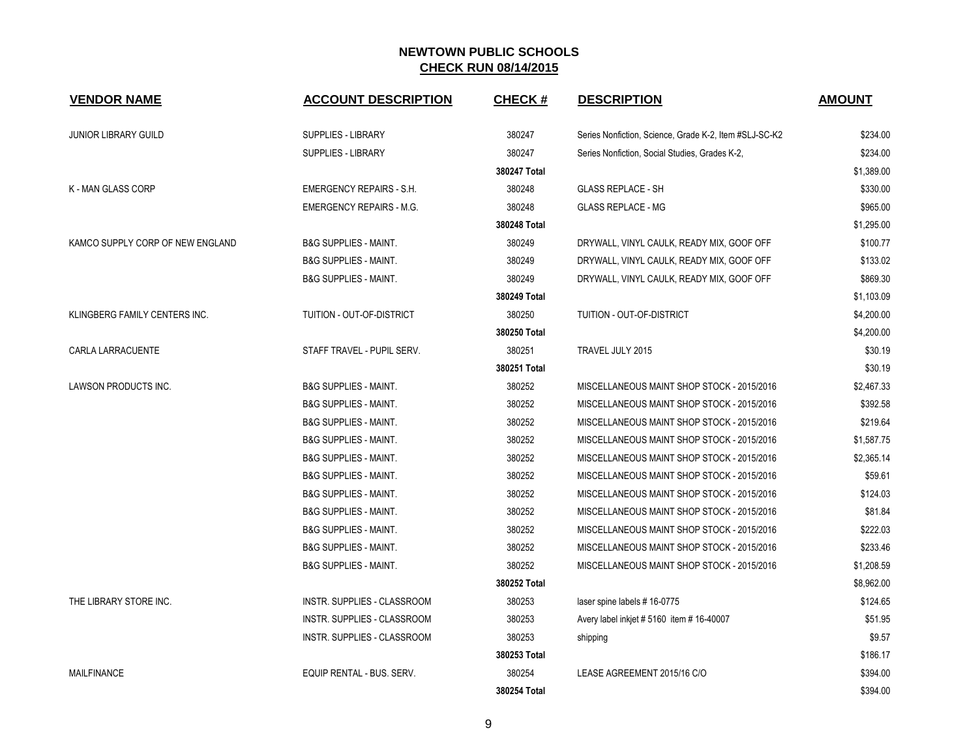| <b>VENDOR NAME</b>               | <b>ACCOUNT DESCRIPTION</b>       | <b>CHECK#</b> | <b>DESCRIPTION</b>                                     | <b>AMOUNT</b> |
|----------------------------------|----------------------------------|---------------|--------------------------------------------------------|---------------|
| <b>JUNIOR LIBRARY GUILD</b>      | <b>SUPPLIES - LIBRARY</b>        | 380247        | Series Nonfiction, Science, Grade K-2, Item #SLJ-SC-K2 | \$234.00      |
|                                  | <b>SUPPLIES - LIBRARY</b>        | 380247        | Series Nonfiction, Social Studies, Grades K-2,         | \$234.00      |
|                                  |                                  | 380247 Total  |                                                        | \$1,389.00    |
| <b>K-MAN GLASS CORP</b>          | <b>EMERGENCY REPAIRS - S.H.</b>  | 380248        | <b>GLASS REPLACE - SH</b>                              | \$330.00      |
|                                  | EMERGENCY REPAIRS - M.G.         | 380248        | <b>GLASS REPLACE - MG</b>                              | \$965.00      |
|                                  |                                  | 380248 Total  |                                                        | \$1,295.00    |
| KAMCO SUPPLY CORP OF NEW ENGLAND | <b>B&amp;G SUPPLIES - MAINT.</b> | 380249        | DRYWALL, VINYL CAULK, READY MIX, GOOF OFF              | \$100.77      |
|                                  | <b>B&amp;G SUPPLIES - MAINT.</b> | 380249        | DRYWALL, VINYL CAULK, READY MIX, GOOF OFF              | \$133.02      |
|                                  | <b>B&amp;G SUPPLIES - MAINT.</b> | 380249        | DRYWALL, VINYL CAULK, READY MIX, GOOF OFF              | \$869.30      |
|                                  |                                  | 380249 Total  |                                                        | \$1,103.09    |
| KLINGBERG FAMILY CENTERS INC.    | TUITION - OUT-OF-DISTRICT        | 380250        | TUITION - OUT-OF-DISTRICT                              | \$4,200.00    |
|                                  |                                  | 380250 Total  |                                                        | \$4,200.00    |
| CARLA LARRACUENTE                | STAFF TRAVEL - PUPIL SERV.       | 380251        | TRAVEL JULY 2015                                       | \$30.19       |
|                                  |                                  | 380251 Total  |                                                        | \$30.19       |
| LAWSON PRODUCTS INC.             | <b>B&amp;G SUPPLIES - MAINT.</b> | 380252        | MISCELLANEOUS MAINT SHOP STOCK - 2015/2016             | \$2,467.33    |
|                                  | <b>B&amp;G SUPPLIES - MAINT.</b> | 380252        | MISCELLANEOUS MAINT SHOP STOCK - 2015/2016             | \$392.58      |
|                                  | <b>B&amp;G SUPPLIES - MAINT.</b> | 380252        | MISCELLANEOUS MAINT SHOP STOCK - 2015/2016             | \$219.64      |
|                                  | <b>B&amp;G SUPPLIES - MAINT.</b> | 380252        | MISCELLANEOUS MAINT SHOP STOCK - 2015/2016             | \$1,587.75    |
|                                  | <b>B&amp;G SUPPLIES - MAINT.</b> | 380252        | MISCELLANEOUS MAINT SHOP STOCK - 2015/2016             | \$2,365.14    |
|                                  | <b>B&amp;G SUPPLIES - MAINT.</b> | 380252        | MISCELLANEOUS MAINT SHOP STOCK - 2015/2016             | \$59.61       |
|                                  | <b>B&amp;G SUPPLIES - MAINT.</b> | 380252        | MISCELLANEOUS MAINT SHOP STOCK - 2015/2016             | \$124.03      |
|                                  | <b>B&amp;G SUPPLIES - MAINT.</b> | 380252        | MISCELLANEOUS MAINT SHOP STOCK - 2015/2016             | \$81.84       |
|                                  | <b>B&amp;G SUPPLIES - MAINT.</b> | 380252        | MISCELLANEOUS MAINT SHOP STOCK - 2015/2016             | \$222.03      |
|                                  | <b>B&amp;G SUPPLIES - MAINT.</b> | 380252        | MISCELLANEOUS MAINT SHOP STOCK - 2015/2016             | \$233.46      |
|                                  | <b>B&amp;G SUPPLIES - MAINT.</b> | 380252        | MISCELLANEOUS MAINT SHOP STOCK - 2015/2016             | \$1,208.59    |
|                                  |                                  | 380252 Total  |                                                        | \$8,962.00    |
| THE LIBRARY STORE INC.           | INSTR. SUPPLIES - CLASSROOM      | 380253        | laser spine labels #16-0775                            | \$124.65      |
|                                  | INSTR. SUPPLIES - CLASSROOM      | 380253        | Avery label inkjet # 5160 item # 16-40007              | \$51.95       |
|                                  | INSTR. SUPPLIES - CLASSROOM      | 380253        | shipping                                               | \$9.57        |
|                                  |                                  | 380253 Total  |                                                        | \$186.17      |
| <b>MAILFINANCE</b>               | EQUIP RENTAL - BUS. SERV.        | 380254        | LEASE AGREEMENT 2015/16 C/O                            | \$394.00      |
|                                  |                                  | 380254 Total  |                                                        | \$394.00      |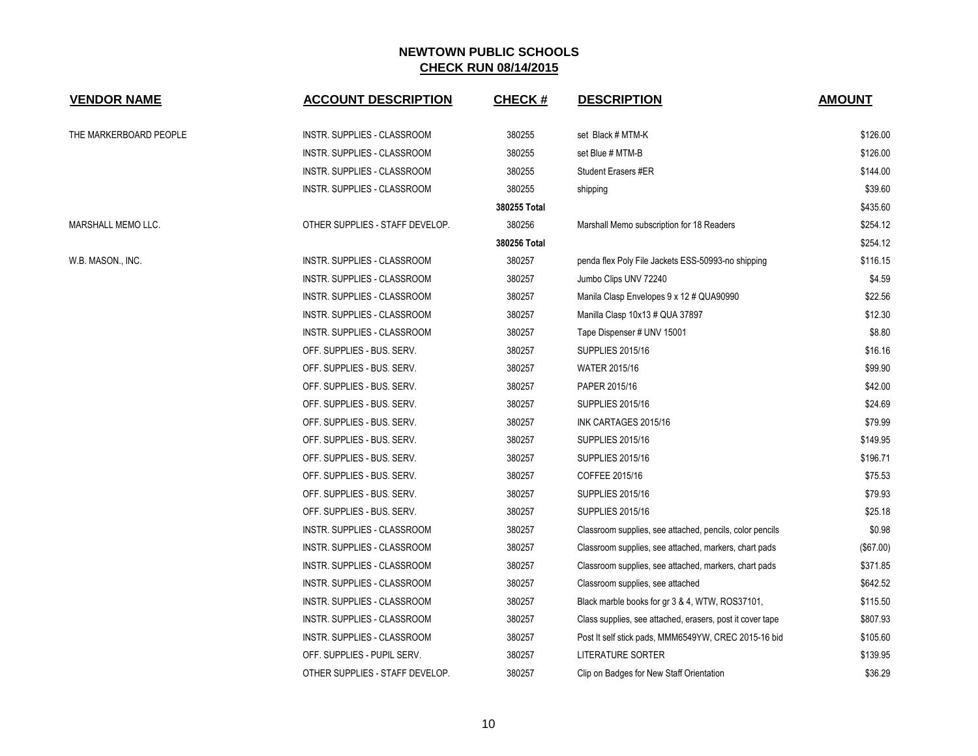| <b>VENDOR NAME</b>     | <b>ACCOUNT DESCRIPTION</b>      | <b>CHECK#</b> | <b>DESCRIPTION</b>                                        | <b>AMOUNT</b> |
|------------------------|---------------------------------|---------------|-----------------------------------------------------------|---------------|
| THE MARKERBOARD PEOPLE | INSTR. SUPPLIES - CLASSROOM     | 380255        | set Black # MTM-K                                         | \$126.00      |
|                        | INSTR. SUPPLIES - CLASSROOM     | 380255        | set Blue # MTM-B                                          | \$126.00      |
|                        | INSTR. SUPPLIES - CLASSROOM     | 380255        | <b>Student Erasers #ER</b>                                | \$144.00      |
|                        | INSTR. SUPPLIES - CLASSROOM     | 380255        | shipping                                                  | \$39.60       |
|                        |                                 | 380255 Total  |                                                           | \$435.60      |
| MARSHALL MEMO LLC.     | OTHER SUPPLIES - STAFF DEVELOP. | 380256        | Marshall Memo subscription for 18 Readers                 | \$254.12      |
|                        |                                 | 380256 Total  |                                                           | \$254.12      |
| W.B. MASON., INC.      | INSTR. SUPPLIES - CLASSROOM     | 380257        | penda flex Poly File Jackets ESS-50993-no shipping        | \$116.15      |
|                        | INSTR. SUPPLIES - CLASSROOM     | 380257        | Jumbo Clips UNV 72240                                     | \$4.59        |
|                        | INSTR. SUPPLIES - CLASSROOM     | 380257        | Manila Clasp Envelopes 9 x 12 # QUA90990                  | \$22.56       |
|                        | INSTR. SUPPLIES - CLASSROOM     | 380257        | Manilla Clasp 10x13 # QUA 37897                           | \$12.30       |
|                        | INSTR. SUPPLIES - CLASSROOM     | 380257        | Tape Dispenser # UNV 15001                                | \$8.80        |
|                        | OFF. SUPPLIES - BUS. SERV.      | 380257        | <b>SUPPLIES 2015/16</b>                                   | \$16.16       |
|                        | OFF. SUPPLIES - BUS. SERV.      | 380257        | WATER 2015/16                                             | \$99.90       |
|                        | OFF. SUPPLIES - BUS. SERV.      | 380257        | PAPER 2015/16                                             | \$42.00       |
|                        | OFF. SUPPLIES - BUS. SERV.      | 380257        | <b>SUPPLIES 2015/16</b>                                   | \$24.69       |
|                        | OFF. SUPPLIES - BUS. SERV.      | 380257        | INK CARTAGES 2015/16                                      | \$79.99       |
|                        | OFF. SUPPLIES - BUS. SERV.      | 380257        | <b>SUPPLIES 2015/16</b>                                   | \$149.95      |
|                        | OFF. SUPPLIES - BUS. SERV.      | 380257        | <b>SUPPLIES 2015/16</b>                                   | \$196.71      |
|                        | OFF. SUPPLIES - BUS. SERV.      | 380257        | COFFEE 2015/16                                            | \$75.53       |
|                        | OFF. SUPPLIES - BUS. SERV.      | 380257        | <b>SUPPLIES 2015/16</b>                                   | \$79.93       |
|                        | OFF. SUPPLIES - BUS. SERV.      | 380257        | <b>SUPPLIES 2015/16</b>                                   | \$25.18       |
|                        | INSTR. SUPPLIES - CLASSROOM     | 380257        | Classroom supplies, see attached, pencils, color pencils  | \$0.98        |
|                        | INSTR. SUPPLIES - CLASSROOM     | 380257        | Classroom supplies, see attached, markers, chart pads     | (\$67.00)     |
|                        | INSTR. SUPPLIES - CLASSROOM     | 380257        | Classroom supplies, see attached, markers, chart pads     | \$371.85      |
|                        | INSTR. SUPPLIES - CLASSROOM     | 380257        | Classroom supplies, see attached                          | \$642.52      |
|                        | INSTR. SUPPLIES - CLASSROOM     | 380257        | Black marble books for gr 3 & 4, WTW, ROS37101,           | \$115.50      |
|                        | INSTR. SUPPLIES - CLASSROOM     | 380257        | Class supplies, see attached, erasers, post it cover tape | \$807.93      |
|                        | INSTR. SUPPLIES - CLASSROOM     | 380257        | Post It self stick pads, MMM6549YW, CREC 2015-16 bid      | \$105.60      |
|                        | OFF. SUPPLIES - PUPIL SERV.     | 380257        | <b>LITERATURE SORTER</b>                                  | \$139.95      |
|                        | OTHER SUPPLIES - STAFF DEVELOP. | 380257        | Clip on Badges for New Staff Orientation                  | \$36.29       |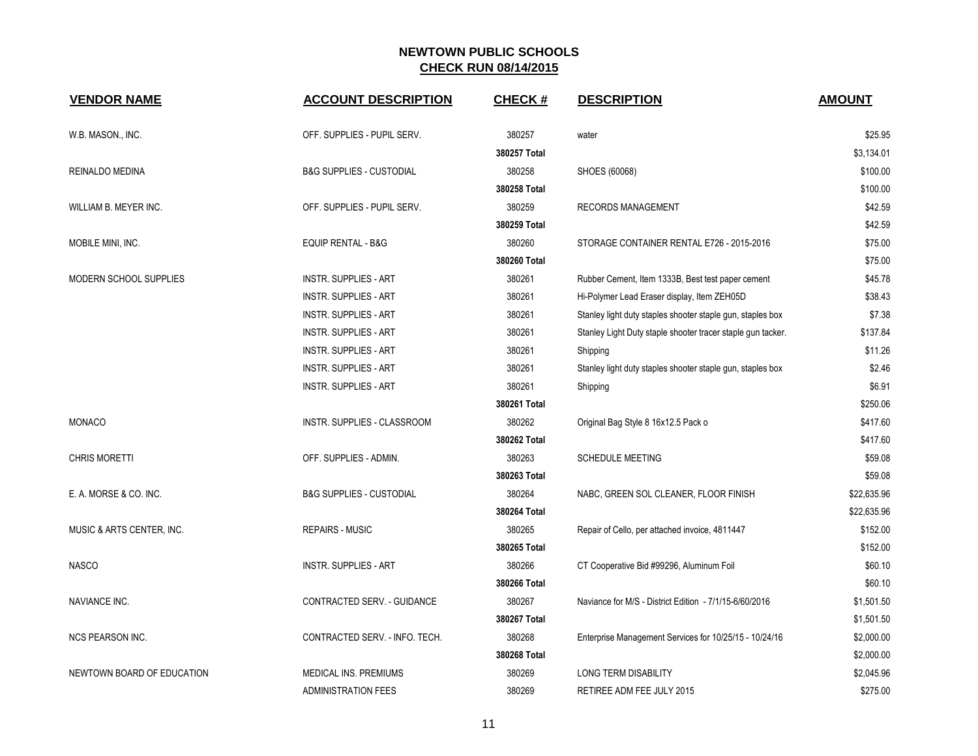| <b>VENDOR NAME</b>         | <b>ACCOUNT DESCRIPTION</b>          | <b>CHECK#</b> | <b>DESCRIPTION</b>                                          | <b>AMOUNT</b> |
|----------------------------|-------------------------------------|---------------|-------------------------------------------------------------|---------------|
| W.B. MASON., INC.          | OFF. SUPPLIES - PUPIL SERV.         | 380257        | water                                                       | \$25.95       |
|                            |                                     | 380257 Total  |                                                             | \$3,134.01    |
| REINALDO MEDINA            | <b>B&amp;G SUPPLIES - CUSTODIAL</b> | 380258        | SHOES (60068)                                               | \$100.00      |
|                            |                                     | 380258 Total  |                                                             | \$100.00      |
| WILLIAM B. MEYER INC.      | OFF. SUPPLIES - PUPIL SERV.         | 380259        | RECORDS MANAGEMENT                                          | \$42.59       |
|                            |                                     | 380259 Total  |                                                             | \$42.59       |
| MOBILE MINI, INC.          | <b>EQUIP RENTAL - B&amp;G</b>       | 380260        | STORAGE CONTAINER RENTAL E726 - 2015-2016                   | \$75.00       |
|                            |                                     | 380260 Total  |                                                             | \$75.00       |
| MODERN SCHOOL SUPPLIES     | <b>INSTR. SUPPLIES - ART</b>        | 380261        | Rubber Cement, Item 1333B, Best test paper cement           | \$45.78       |
|                            | <b>INSTR. SUPPLIES - ART</b>        | 380261        | Hi-Polymer Lead Eraser display, Item ZEH05D                 | \$38.43       |
|                            | <b>INSTR. SUPPLIES - ART</b>        | 380261        | Stanley light duty staples shooter staple gun, staples box  | \$7.38        |
|                            | <b>INSTR. SUPPLIES - ART</b>        | 380261        | Stanley Light Duty staple shooter tracer staple gun tacker. | \$137.84      |
|                            | <b>INSTR. SUPPLIES - ART</b>        | 380261        | Shipping                                                    | \$11.26       |
|                            | <b>INSTR. SUPPLIES - ART</b>        | 380261        | Stanley light duty staples shooter staple gun, staples box  | \$2.46        |
|                            | <b>INSTR. SUPPLIES - ART</b>        | 380261        | Shipping                                                    | \$6.91        |
|                            |                                     | 380261 Total  |                                                             | \$250.06      |
| <b>MONACO</b>              | <b>INSTR. SUPPLIES - CLASSROOM</b>  | 380262        | Original Bag Style 8 16x12.5 Pack o                         | \$417.60      |
|                            |                                     | 380262 Total  |                                                             | \$417.60      |
| <b>CHRIS MORETTI</b>       | OFF. SUPPLIES - ADMIN.              | 380263        | <b>SCHEDULE MEETING</b>                                     | \$59.08       |
|                            |                                     | 380263 Total  |                                                             | \$59.08       |
| E. A. MORSE & CO. INC.     | <b>B&amp;G SUPPLIES - CUSTODIAL</b> | 380264        | NABC, GREEN SOL CLEANER, FLOOR FINISH                       | \$22,635.96   |
|                            |                                     | 380264 Total  |                                                             | \$22,635.96   |
| MUSIC & ARTS CENTER, INC.  | <b>REPAIRS - MUSIC</b>              | 380265        | Repair of Cello, per attached invoice, 4811447              | \$152.00      |
|                            |                                     | 380265 Total  |                                                             | \$152.00      |
| <b>NASCO</b>               | <b>INSTR. SUPPLIES - ART</b>        | 380266        | CT Cooperative Bid #99296, Aluminum Foil                    | \$60.10       |
|                            |                                     | 380266 Total  |                                                             | \$60.10       |
| NAVIANCE INC.              | CONTRACTED SERV. - GUIDANCE         | 380267        | Naviance for M/S - District Edition - 7/1/15-6/60/2016      | \$1,501.50    |
|                            |                                     | 380267 Total  |                                                             | \$1,501.50    |
| <b>NCS PEARSON INC.</b>    | CONTRACTED SERV. - INFO. TECH.      | 380268        | Enterprise Management Services for 10/25/15 - 10/24/16      | \$2,000.00    |
|                            |                                     | 380268 Total  |                                                             | \$2,000.00    |
| NEWTOWN BOARD OF EDUCATION | MEDICAL INS. PREMIUMS               | 380269        | <b>LONG TERM DISABILITY</b>                                 | \$2,045.96    |
|                            | <b>ADMINISTRATION FEES</b>          | 380269        | RETIREE ADM FEE JULY 2015                                   | \$275.00      |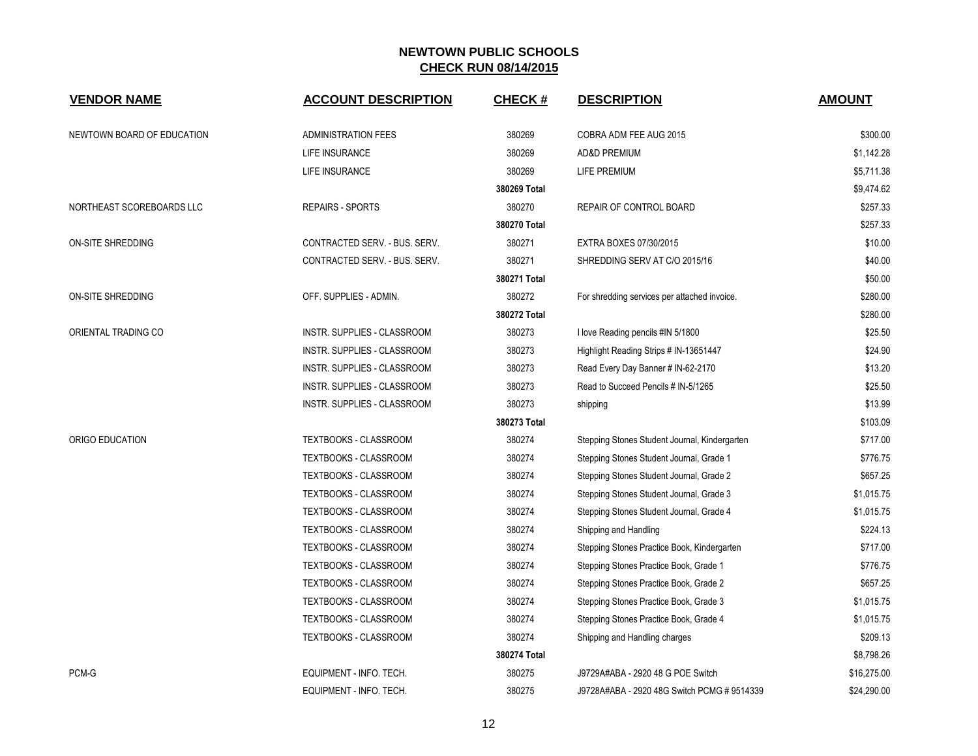| <b>VENDOR NAME</b>         | <b>ACCOUNT DESCRIPTION</b>         | <b>CHECK#</b> | <b>DESCRIPTION</b>                            | <b>AMOUNT</b> |
|----------------------------|------------------------------------|---------------|-----------------------------------------------|---------------|
| NEWTOWN BOARD OF EDUCATION | <b>ADMINISTRATION FEES</b>         | 380269        | COBRA ADM FEE AUG 2015                        | \$300.00      |
|                            | LIFE INSURANCE                     | 380269        | <b>AD&amp;D PREMIUM</b>                       | \$1,142.28    |
|                            | LIFE INSURANCE                     | 380269        | LIFE PREMIUM                                  | \$5,711.38    |
|                            |                                    | 380269 Total  |                                               | \$9,474.62    |
| NORTHEAST SCOREBOARDS LLC  | <b>REPAIRS - SPORTS</b>            | 380270        | <b>REPAIR OF CONTROL BOARD</b>                | \$257.33      |
|                            |                                    | 380270 Total  |                                               | \$257.33      |
| ON-SITE SHREDDING          | CONTRACTED SERV. - BUS. SERV.      | 380271        | EXTRA BOXES 07/30/2015                        | \$10.00       |
|                            | CONTRACTED SERV. - BUS. SERV.      | 380271        | SHREDDING SERV AT C/O 2015/16                 | \$40.00       |
|                            |                                    | 380271 Total  |                                               | \$50.00       |
| <b>ON-SITE SHREDDING</b>   | OFF. SUPPLIES - ADMIN.             | 380272        | For shredding services per attached invoice.  | \$280.00      |
|                            |                                    | 380272 Total  |                                               | \$280.00      |
| ORIENTAL TRADING CO        | INSTR. SUPPLIES - CLASSROOM        | 380273        | I love Reading pencils #IN 5/1800             | \$25.50       |
|                            | INSTR. SUPPLIES - CLASSROOM        | 380273        | Highlight Reading Strips # IN-13651447        | \$24.90       |
|                            | INSTR. SUPPLIES - CLASSROOM        | 380273        | Read Every Day Banner # IN-62-2170            | \$13.20       |
|                            | <b>INSTR. SUPPLIES - CLASSROOM</b> | 380273        | Read to Succeed Pencils # IN-5/1265           | \$25.50       |
|                            | INSTR. SUPPLIES - CLASSROOM        | 380273        | shipping                                      | \$13.99       |
|                            |                                    | 380273 Total  |                                               | \$103.09      |
| ORIGO EDUCATION            | <b>TEXTBOOKS - CLASSROOM</b>       | 380274        | Stepping Stones Student Journal, Kindergarten | \$717.00      |
|                            | <b>TEXTBOOKS - CLASSROOM</b>       | 380274        | Stepping Stones Student Journal, Grade 1      | \$776.75      |
|                            | TEXTBOOKS - CLASSROOM              | 380274        | Stepping Stones Student Journal, Grade 2      | \$657.25      |
|                            | <b>TEXTBOOKS - CLASSROOM</b>       | 380274        | Stepping Stones Student Journal, Grade 3      | \$1,015.75    |
|                            | <b>TEXTBOOKS - CLASSROOM</b>       | 380274        | Stepping Stones Student Journal, Grade 4      | \$1,015.75    |
|                            | <b>TEXTBOOKS - CLASSROOM</b>       | 380274        | Shipping and Handling                         | \$224.13      |
|                            | TEXTBOOKS - CLASSROOM              | 380274        | Stepping Stones Practice Book, Kindergarten   | \$717.00      |
|                            | TEXTBOOKS - CLASSROOM              | 380274        | Stepping Stones Practice Book, Grade 1        | \$776.75      |
|                            | <b>TEXTBOOKS - CLASSROOM</b>       | 380274        | Stepping Stones Practice Book, Grade 2        | \$657.25      |
|                            | <b>TEXTBOOKS - CLASSROOM</b>       | 380274        | Stepping Stones Practice Book, Grade 3        | \$1,015.75    |
|                            | <b>TEXTBOOKS - CLASSROOM</b>       | 380274        | Stepping Stones Practice Book, Grade 4        | \$1,015.75    |
|                            | TEXTBOOKS - CLASSROOM              | 380274        | Shipping and Handling charges                 | \$209.13      |
|                            |                                    | 380274 Total  |                                               | \$8,798.26    |
| PCM-G                      | EQUIPMENT - INFO. TECH.            | 380275        | J9729A#ABA - 2920 48 G POE Switch             | \$16,275.00   |
|                            | EQUIPMENT - INFO. TECH.            | 380275        | J9728A#ABA - 2920 48G Switch PCMG # 9514339   | \$24,290.00   |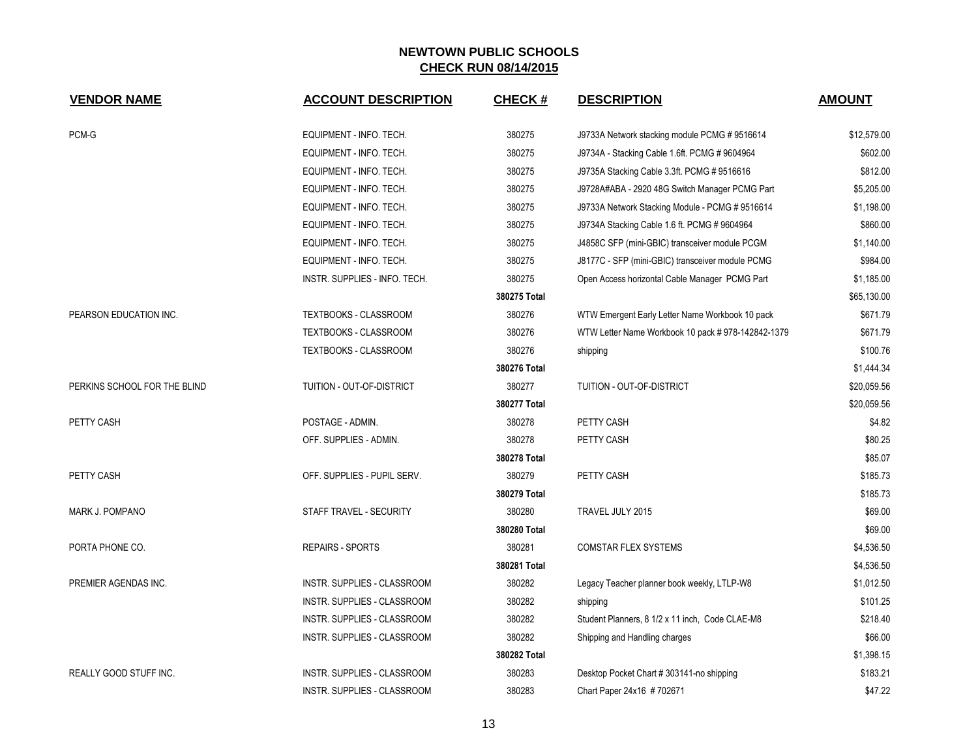| <b>VENDOR NAME</b>            | <b>ACCOUNT DESCRIPTION</b>         | <b>CHECK#</b> | <b>DESCRIPTION</b>                                | <b>AMOUNT</b> |
|-------------------------------|------------------------------------|---------------|---------------------------------------------------|---------------|
| PCM-G                         | EQUIPMENT - INFO. TECH.            | 380275        | J9733A Network stacking module PCMG #9516614      | \$12,579.00   |
|                               | EQUIPMENT - INFO. TECH.            | 380275        | J9734A - Stacking Cable 1.6ft. PCMG # 9604964     | \$602.00      |
|                               | EQUIPMENT - INFO. TECH.            | 380275        | J9735A Stacking Cable 3.3ft. PCMG #9516616        | \$812.00      |
|                               | EQUIPMENT - INFO. TECH.            | 380275        | J9728A#ABA - 2920 48G Switch Manager PCMG Part    | \$5,205.00    |
|                               | EQUIPMENT - INFO. TECH.            | 380275        | J9733A Network Stacking Module - PCMG # 9516614   | \$1,198.00    |
|                               | EQUIPMENT - INFO. TECH.            | 380275        | J9734A Stacking Cable 1.6 ft. PCMG # 9604964      | \$860.00      |
|                               | EQUIPMENT - INFO. TECH.            | 380275        | J4858C SFP (mini-GBIC) transceiver module PCGM    | \$1,140.00    |
|                               | EQUIPMENT - INFO. TECH.            | 380275        | J8177C - SFP (mini-GBIC) transceiver module PCMG  | \$984.00      |
|                               | INSTR. SUPPLIES - INFO. TECH.      | 380275        | Open Access horizontal Cable Manager PCMG Part    | \$1,185.00    |
|                               |                                    | 380275 Total  |                                                   | \$65,130.00   |
| PEARSON EDUCATION INC.        | <b>TEXTBOOKS - CLASSROOM</b>       | 380276        | WTW Emergent Early Letter Name Workbook 10 pack   | \$671.79      |
|                               | <b>TEXTBOOKS - CLASSROOM</b>       | 380276        | WTW Letter Name Workbook 10 pack #978-142842-1379 | \$671.79      |
|                               | TEXTBOOKS - CLASSROOM              | 380276        | shipping                                          | \$100.76      |
|                               |                                    | 380276 Total  |                                                   | \$1,444.34    |
| PERKINS SCHOOL FOR THE BLIND  | TUITION - OUT-OF-DISTRICT          | 380277        | TUITION - OUT-OF-DISTRICT                         | \$20,059.56   |
|                               |                                    | 380277 Total  |                                                   | \$20,059.56   |
| PETTY CASH                    | POSTAGE - ADMIN.                   | 380278        | PETTY CASH                                        | \$4.82        |
|                               | OFF. SUPPLIES - ADMIN.             | 380278        | PETTY CASH                                        | \$80.25       |
|                               |                                    | 380278 Total  |                                                   | \$85.07       |
| PETTY CASH                    | OFF. SUPPLIES - PUPIL SERV.        | 380279        | PETTY CASH                                        | \$185.73      |
|                               |                                    | 380279 Total  |                                                   | \$185.73      |
| MARK J. POMPANO               | STAFF TRAVEL - SECURITY            | 380280        | TRAVEL JULY 2015                                  | \$69.00       |
|                               |                                    | 380280 Total  |                                                   | \$69.00       |
| PORTA PHONE CO.               | <b>REPAIRS - SPORTS</b>            | 380281        | <b>COMSTAR FLEX SYSTEMS</b>                       | \$4,536.50    |
|                               |                                    | 380281 Total  |                                                   | \$4,536.50    |
| PREMIER AGENDAS INC.          | INSTR. SUPPLIES - CLASSROOM        | 380282        | Legacy Teacher planner book weekly, LTLP-W8       | \$1,012.50    |
|                               | INSTR. SUPPLIES - CLASSROOM        | 380282        | shipping                                          | \$101.25      |
|                               | INSTR. SUPPLIES - CLASSROOM        | 380282        | Student Planners, 8 1/2 x 11 inch, Code CLAE-M8   | \$218.40      |
|                               | INSTR. SUPPLIES - CLASSROOM        | 380282        | Shipping and Handling charges                     | \$66.00       |
|                               |                                    | 380282 Total  |                                                   | \$1,398.15    |
| <b>REALLY GOOD STUFF INC.</b> | <b>INSTR. SUPPLIES - CLASSROOM</b> | 380283        | Desktop Pocket Chart # 303141-no shipping         | \$183.21      |
|                               | INSTR. SUPPLIES - CLASSROOM        | 380283        | Chart Paper 24x16 #702671                         | \$47.22       |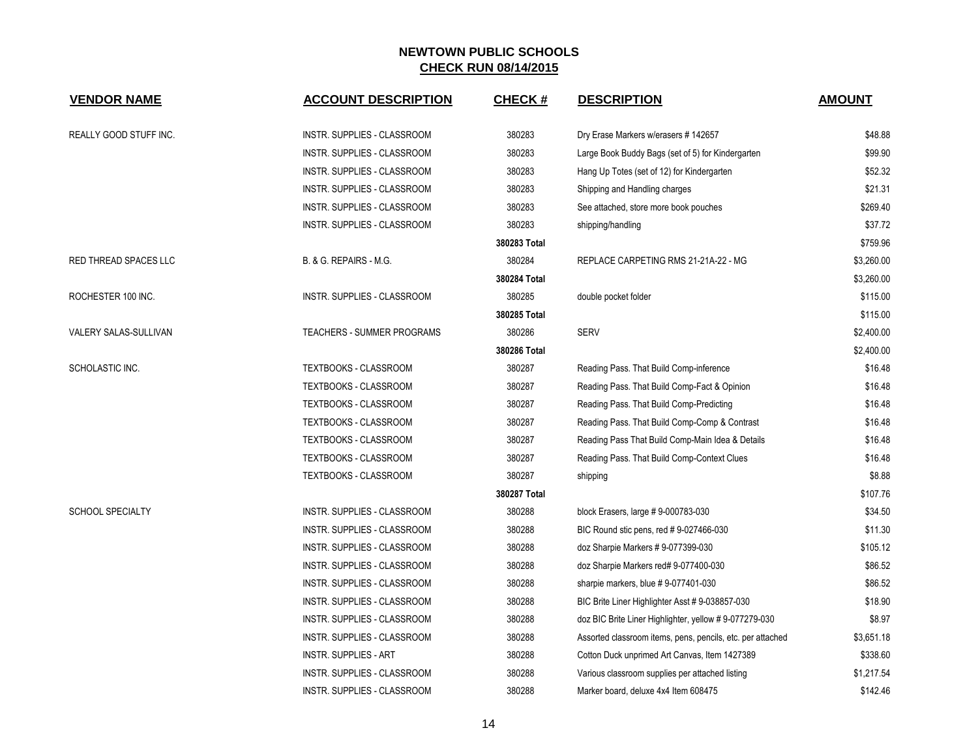| <b>VENDOR NAME</b>      | <b>ACCOUNT DESCRIPTION</b>         | <b>CHECK#</b> | <b>DESCRIPTION</b>                                         | <b>AMOUNT</b> |
|-------------------------|------------------------------------|---------------|------------------------------------------------------------|---------------|
| REALLY GOOD STUFF INC.  | INSTR. SUPPLIES - CLASSROOM        | 380283        | Dry Erase Markers w/erasers #142657                        | \$48.88       |
|                         | <b>INSTR. SUPPLIES - CLASSROOM</b> | 380283        | Large Book Buddy Bags (set of 5) for Kindergarten          | \$99.90       |
|                         | INSTR. SUPPLIES - CLASSROOM        | 380283        | Hang Up Totes (set of 12) for Kindergarten                 | \$52.32       |
|                         | INSTR. SUPPLIES - CLASSROOM        | 380283        | Shipping and Handling charges                              | \$21.31       |
|                         | INSTR. SUPPLIES - CLASSROOM        | 380283        | See attached, store more book pouches                      | \$269.40      |
|                         | INSTR. SUPPLIES - CLASSROOM        | 380283        | shipping/handling                                          | \$37.72       |
|                         |                                    | 380283 Total  |                                                            | \$759.96      |
| RED THREAD SPACES LLC   | B. & G. REPAIRS - M.G.             | 380284        | REPLACE CARPETING RMS 21-21A-22 - MG                       | \$3,260.00    |
|                         |                                    | 380284 Total  |                                                            | \$3,260.00    |
| ROCHESTER 100 INC.      | INSTR. SUPPLIES - CLASSROOM        | 380285        | double pocket folder                                       | \$115.00      |
|                         |                                    | 380285 Total  |                                                            | \$115.00      |
| VALERY SALAS-SULLIVAN   | <b>TEACHERS - SUMMER PROGRAMS</b>  | 380286        | <b>SERV</b>                                                | \$2,400.00    |
|                         |                                    | 380286 Total  |                                                            | \$2,400.00    |
| SCHOLASTIC INC.         | TEXTBOOKS - CLASSROOM              | 380287        | Reading Pass. That Build Comp-inference                    | \$16.48       |
|                         | TEXTBOOKS - CLASSROOM              | 380287        | Reading Pass. That Build Comp-Fact & Opinion               | \$16.48       |
|                         | TEXTBOOKS - CLASSROOM              | 380287        | Reading Pass. That Build Comp-Predicting                   | \$16.48       |
|                         | TEXTBOOKS - CLASSROOM              | 380287        | Reading Pass. That Build Comp-Comp & Contrast              | \$16.48       |
|                         | TEXTBOOKS - CLASSROOM              | 380287        | Reading Pass That Build Comp-Main Idea & Details           | \$16.48       |
|                         | <b>TEXTBOOKS - CLASSROOM</b>       | 380287        | Reading Pass. That Build Comp-Context Clues                | \$16.48       |
|                         | TEXTBOOKS - CLASSROOM              | 380287        | shipping                                                   | \$8.88        |
|                         |                                    | 380287 Total  |                                                            | \$107.76      |
| <b>SCHOOL SPECIALTY</b> | INSTR. SUPPLIES - CLASSROOM        | 380288        | block Erasers, large #9-000783-030                         | \$34.50       |
|                         | INSTR. SUPPLIES - CLASSROOM        | 380288        | BIC Round stic pens, red #9-027466-030                     | \$11.30       |
|                         | INSTR. SUPPLIES - CLASSROOM        | 380288        | doz Sharpie Markers # 9-077399-030                         | \$105.12      |
|                         | INSTR. SUPPLIES - CLASSROOM        | 380288        | doz Sharpie Markers red# 9-077400-030                      | \$86.52       |
|                         | INSTR. SUPPLIES - CLASSROOM        | 380288        | sharpie markers, blue #9-077401-030                        | \$86.52       |
|                         | INSTR. SUPPLIES - CLASSROOM        | 380288        | BIC Brite Liner Highlighter Asst # 9-038857-030            | \$18.90       |
|                         | INSTR. SUPPLIES - CLASSROOM        | 380288        | doz BIC Brite Liner Highlighter, yellow #9-077279-030      | \$8.97        |
|                         | INSTR. SUPPLIES - CLASSROOM        | 380288        | Assorted classroom items, pens, pencils, etc. per attached | \$3,651.18    |
|                         | INSTR. SUPPLIES - ART              | 380288        | Cotton Duck unprimed Art Canvas, Item 1427389              | \$338.60      |
|                         | <b>INSTR. SUPPLIES - CLASSROOM</b> | 380288        | Various classroom supplies per attached listing            | \$1,217.54    |
|                         | INSTR. SUPPLIES - CLASSROOM        | 380288        | Marker board, deluxe 4x4 Item 608475                       | \$142.46      |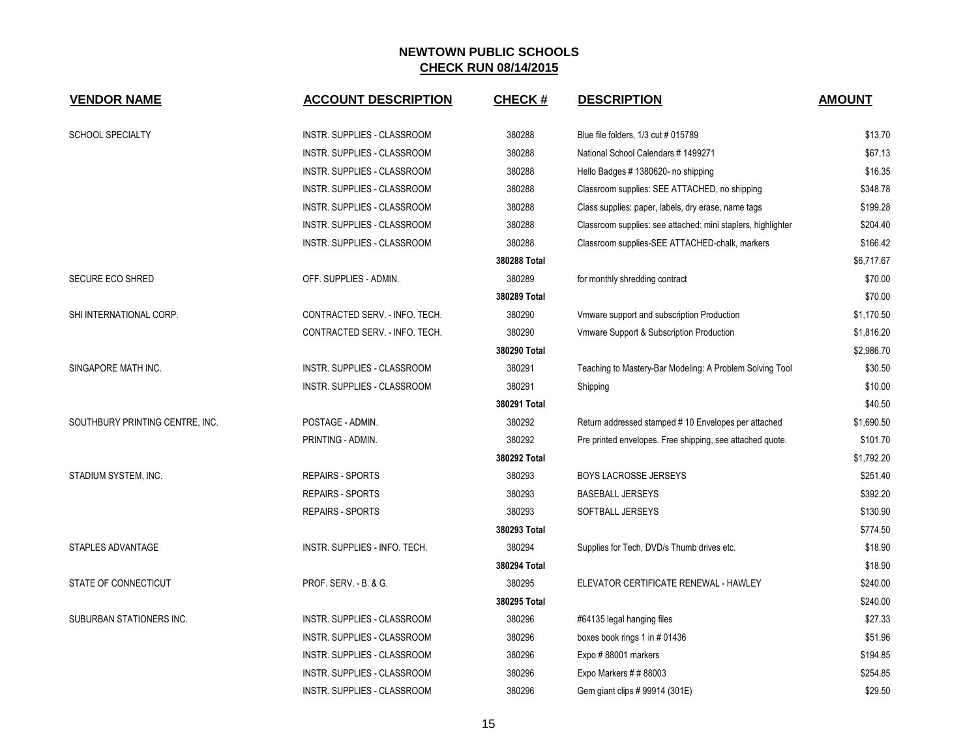| <b>SCHOOL SPECIALTY</b><br>INSTR. SUPPLIES - CLASSROOM<br>380288<br>Blue file folders, 1/3 cut # 015789                  | \$13.70    |
|--------------------------------------------------------------------------------------------------------------------------|------------|
| 380288<br>INSTR. SUPPLIES - CLASSROOM<br>National School Calendars # 1499271                                             | \$67.13    |
| 380288<br>INSTR. SUPPLIES - CLASSROOM<br>Hello Badges #1380620- no shipping                                              | \$16.35    |
| INSTR. SUPPLIES - CLASSROOM<br>380288<br>Classroom supplies: SEE ATTACHED, no shipping                                   | \$348.78   |
| INSTR. SUPPLIES - CLASSROOM<br>380288<br>Class supplies: paper, labels, dry erase, name tags                             | \$199.28   |
| INSTR. SUPPLIES - CLASSROOM<br>380288<br>Classroom supplies: see attached: mini staplers, highlighter                    | \$204.40   |
| 380288<br>INSTR. SUPPLIES - CLASSROOM<br>Classroom supplies-SEE ATTACHED-chalk, markers                                  | \$166.42   |
| 380288 Total                                                                                                             | \$6,717.67 |
| 380289<br><b>SECURE ECO SHRED</b><br>OFF. SUPPLIES - ADMIN.<br>for monthly shredding contract                            | \$70.00    |
| 380289 Total                                                                                                             | \$70.00    |
| CONTRACTED SERV. - INFO. TECH.<br>380290<br>SHI INTERNATIONAL CORP.<br>Vmware support and subscription Production        | \$1,170.50 |
| 380290<br>CONTRACTED SERV. - INFO. TECH.<br>Vmware Support & Subscription Production                                     | \$1,816.20 |
| 380290 Total                                                                                                             | \$2,986.70 |
| SINGAPORE MATH INC.<br>INSTR. SUPPLIES - CLASSROOM<br>380291<br>Teaching to Mastery-Bar Modeling: A Problem Solving Tool | \$30.50    |
| INSTR. SUPPLIES - CLASSROOM<br>380291<br>Shipping                                                                        | \$10.00    |
| 380291 Total                                                                                                             | \$40.50    |
| SOUTHBURY PRINTING CENTRE, INC.<br>POSTAGE - ADMIN.<br>380292<br>Return addressed stamped #10 Envelopes per attached     | \$1,690.50 |
| 380292<br>PRINTING - ADMIN.<br>Pre printed envelopes. Free shipping, see attached quote.                                 | \$101.70   |
| 380292 Total                                                                                                             | \$1,792.20 |
| STADIUM SYSTEM, INC.<br><b>REPAIRS - SPORTS</b><br>380293<br><b>BOYS LACROSSE JERSEYS</b>                                | \$251.40   |
| <b>REPAIRS - SPORTS</b><br>380293<br><b>BASEBALL JERSEYS</b>                                                             | \$392.20   |
| 380293<br><b>REPAIRS - SPORTS</b><br>SOFTBALL JERSEYS                                                                    | \$130.90   |
| 380293 Total                                                                                                             | \$774.50   |
| 380294<br>STAPLES ADVANTAGE<br>INSTR. SUPPLIES - INFO. TECH.<br>Supplies for Tech, DVD/s Thumb drives etc.               | \$18.90    |
| 380294 Total                                                                                                             | \$18.90    |
| STATE OF CONNECTICUT<br><b>PROF. SERV. - B. &amp; G.</b><br>380295<br>ELEVATOR CERTIFICATE RENEWAL - HAWLEY              | \$240.00   |
| 380295 Total                                                                                                             | \$240.00   |
| 380296<br>SUBURBAN STATIONERS INC.<br>INSTR. SUPPLIES - CLASSROOM<br>#64135 legal hanging files                          | \$27.33    |
| 380296<br>INSTR. SUPPLIES - CLASSROOM<br>boxes book rings 1 in #01436                                                    | \$51.96    |
| INSTR. SUPPLIES - CLASSROOM<br>380296<br>Expo #88001 markers                                                             | \$194.85   |
| INSTR. SUPPLIES - CLASSROOM<br>380296<br>Expo Markers $\#$ # 88003                                                       | \$254.85   |
| <b>INSTR. SUPPLIES - CLASSROOM</b><br>380296<br>Gem giant clips # 99914 (301E)                                           | \$29.50    |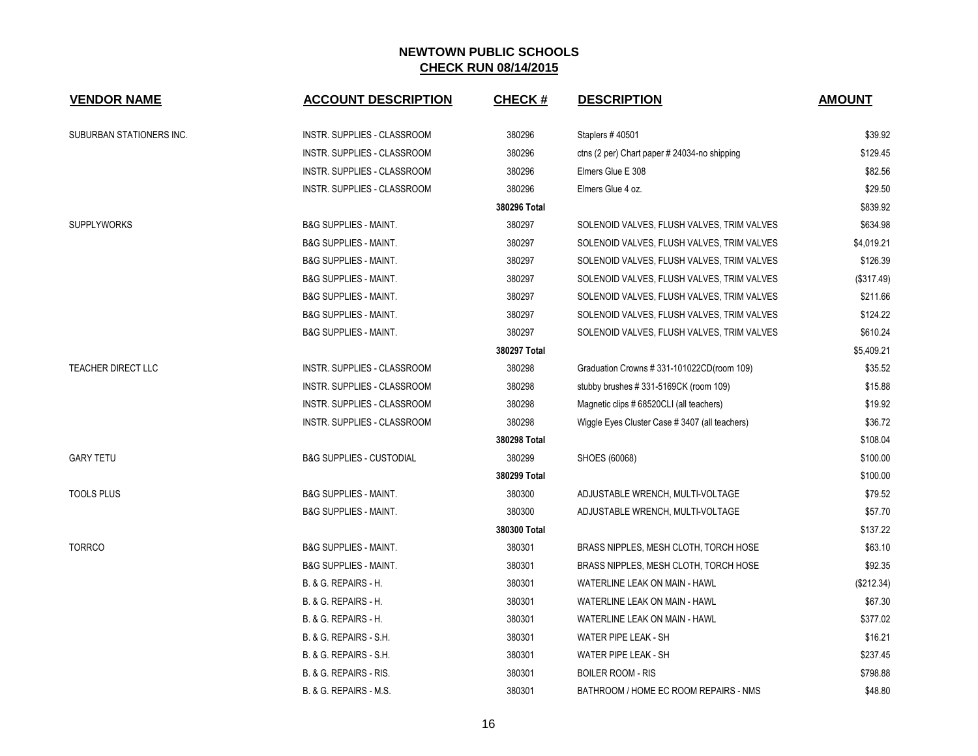| <b>VENDOR NAME</b>        | <b>ACCOUNT DESCRIPTION</b>          | <b>CHECK#</b> | <b>DESCRIPTION</b>                            | <b>AMOUNT</b> |
|---------------------------|-------------------------------------|---------------|-----------------------------------------------|---------------|
| SUBURBAN STATIONERS INC.  | INSTR. SUPPLIES - CLASSROOM         | 380296        | Staplers #40501                               | \$39.92       |
|                           | INSTR. SUPPLIES - CLASSROOM         | 380296        | ctns (2 per) Chart paper # 24034-no shipping  | \$129.45      |
|                           | INSTR. SUPPLIES - CLASSROOM         | 380296        | Elmers Glue E 308                             | \$82.56       |
|                           | INSTR. SUPPLIES - CLASSROOM         | 380296        | Elmers Glue 4 oz.                             | \$29.50       |
|                           |                                     | 380296 Total  |                                               | \$839.92      |
| <b>SUPPLYWORKS</b>        | <b>B&amp;G SUPPLIES - MAINT.</b>    | 380297        | SOLENOID VALVES, FLUSH VALVES, TRIM VALVES    | \$634.98      |
|                           | <b>B&amp;G SUPPLIES - MAINT.</b>    | 380297        | SOLENOID VALVES, FLUSH VALVES, TRIM VALVES    | \$4,019.21    |
|                           | <b>B&amp;G SUPPLIES - MAINT.</b>    | 380297        | SOLENOID VALVES, FLUSH VALVES, TRIM VALVES    | \$126.39      |
|                           | <b>B&amp;G SUPPLIES - MAINT.</b>    | 380297        | SOLENOID VALVES, FLUSH VALVES, TRIM VALVES    | (\$317.49)    |
|                           | <b>B&amp;G SUPPLIES - MAINT.</b>    | 380297        | SOLENOID VALVES, FLUSH VALVES, TRIM VALVES    | \$211.66      |
|                           | <b>B&amp;G SUPPLIES - MAINT.</b>    | 380297        | SOLENOID VALVES, FLUSH VALVES, TRIM VALVES    | \$124.22      |
|                           | <b>B&amp;G SUPPLIES - MAINT.</b>    | 380297        | SOLENOID VALVES, FLUSH VALVES, TRIM VALVES    | \$610.24      |
|                           |                                     | 380297 Total  |                                               | \$5,409.21    |
| <b>TEACHER DIRECT LLC</b> | <b>INSTR. SUPPLIES - CLASSROOM</b>  | 380298        | Graduation Crowns #331-101022CD(room 109)     | \$35.52       |
|                           | INSTR. SUPPLIES - CLASSROOM         | 380298        | stubby brushes #331-5169CK (room 109)         | \$15.88       |
|                           | INSTR. SUPPLIES - CLASSROOM         | 380298        | Magnetic clips # 68520CLI (all teachers)      | \$19.92       |
|                           | INSTR. SUPPLIES - CLASSROOM         | 380298        | Wiggle Eyes Cluster Case #3407 (all teachers) | \$36.72       |
|                           |                                     | 380298 Total  |                                               | \$108.04      |
| <b>GARY TETU</b>          | <b>B&amp;G SUPPLIES - CUSTODIAL</b> | 380299        | SHOES (60068)                                 | \$100.00      |
|                           | 380299 Total                        |               |                                               |               |
| <b>TOOLS PLUS</b>         | <b>B&amp;G SUPPLIES - MAINT.</b>    | 380300        | ADJUSTABLE WRENCH, MULTI-VOLTAGE              | \$79.52       |
|                           | <b>B&amp;G SUPPLIES - MAINT.</b>    | 380300        | ADJUSTABLE WRENCH, MULTI-VOLTAGE              | \$57.70       |
|                           |                                     | 380300 Total  |                                               | \$137.22      |
| <b>TORRCO</b>             | <b>B&amp;G SUPPLIES - MAINT.</b>    | 380301        | BRASS NIPPLES, MESH CLOTH, TORCH HOSE         | \$63.10       |
|                           | <b>B&amp;G SUPPLIES - MAINT.</b>    | 380301        | BRASS NIPPLES, MESH CLOTH, TORCH HOSE         | \$92.35       |
|                           | B. & G. REPAIRS - H.                | 380301        | WATERLINE LEAK ON MAIN - HAWL                 | (\$212.34)    |
|                           | B. & G. REPAIRS - H.                | 380301        | WATERLINE LEAK ON MAIN - HAWL                 | \$67.30       |
|                           | B. & G. REPAIRS - H.                | 380301        | WATERLINE LEAK ON MAIN - HAWL                 | \$377.02      |
|                           | B. & G. REPAIRS - S.H.              | 380301        | WATER PIPE LEAK - SH                          | \$16.21       |
|                           | B. & G. REPAIRS - S.H.              | 380301        | WATER PIPE LEAK - SH                          | \$237.45      |
|                           | B. & G. REPAIRS - RIS.              | 380301        | <b>BOILER ROOM - RIS</b>                      | \$798.88      |
|                           | B. & G. REPAIRS - M.S.              | 380301        | BATHROOM / HOME EC ROOM REPAIRS - NMS         | \$48.80       |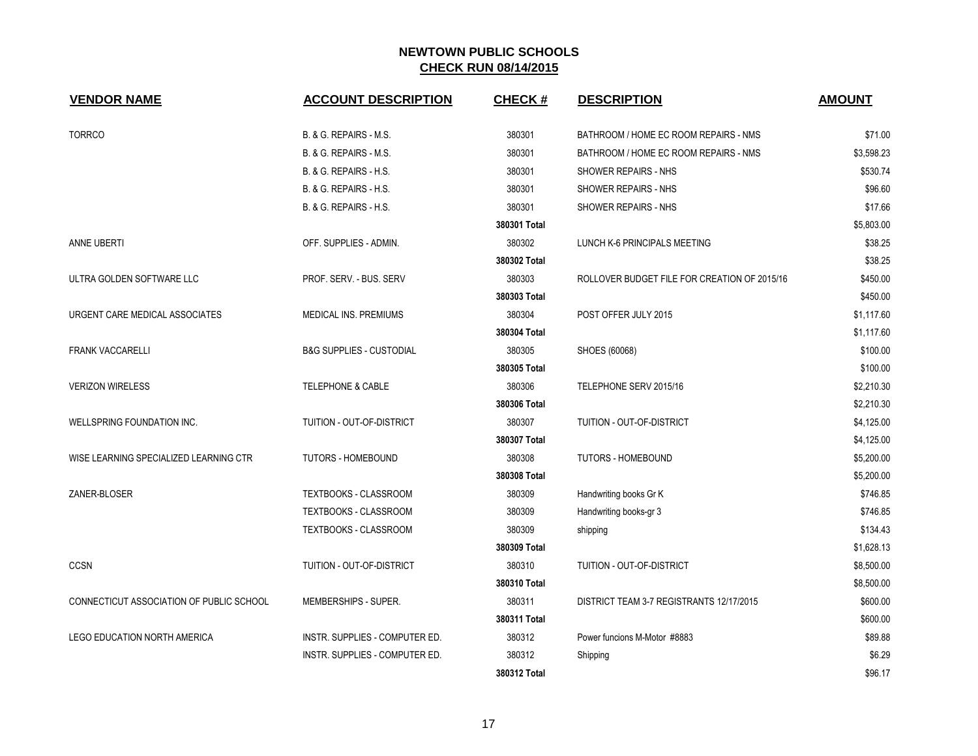| <b>VENDOR NAME</b>                       | <b>ACCOUNT DESCRIPTION</b>          | <b>CHECK#</b> | <b>DESCRIPTION</b>                           | <b>AMOUNT</b> |
|------------------------------------------|-------------------------------------|---------------|----------------------------------------------|---------------|
| <b>TORRCO</b>                            | B. & G. REPAIRS - M.S.              | 380301        | BATHROOM / HOME EC ROOM REPAIRS - NMS        | \$71.00       |
|                                          | B. & G. REPAIRS - M.S.              | 380301        | BATHROOM / HOME EC ROOM REPAIRS - NMS        | \$3,598.23    |
|                                          | B. & G. REPAIRS - H.S.              | 380301        | SHOWER REPAIRS - NHS                         | \$530.74      |
|                                          | B. & G. REPAIRS - H.S.              | 380301        | SHOWER REPAIRS - NHS                         | \$96.60       |
|                                          | B. & G. REPAIRS - H.S.              | 380301        | SHOWER REPAIRS - NHS                         | \$17.66       |
|                                          |                                     | 380301 Total  |                                              | \$5,803.00    |
| ANNE UBERTI                              | OFF. SUPPLIES - ADMIN.              | 380302        | LUNCH K-6 PRINCIPALS MEETING                 | \$38.25       |
|                                          |                                     | 380302 Total  |                                              | \$38.25       |
| ULTRA GOLDEN SOFTWARE LLC                | PROF. SERV. - BUS. SERV             | 380303        | ROLLOVER BUDGET FILE FOR CREATION OF 2015/16 | \$450.00      |
|                                          |                                     | 380303 Total  |                                              | \$450.00      |
| URGENT CARE MEDICAL ASSOCIATES           | MEDICAL INS. PREMIUMS               | 380304        | POST OFFER JULY 2015                         | \$1,117.60    |
|                                          |                                     | 380304 Total  |                                              | \$1,117.60    |
| <b>FRANK VACCARELLI</b>                  | <b>B&amp;G SUPPLIES - CUSTODIAL</b> | 380305        | SHOES (60068)                                | \$100.00      |
|                                          |                                     | 380305 Total  |                                              | \$100.00      |
| <b>VERIZON WIRELESS</b>                  | <b>TELEPHONE &amp; CABLE</b>        | 380306        | TELEPHONE SERV 2015/16                       | \$2,210.30    |
|                                          |                                     | 380306 Total  |                                              | \$2,210.30    |
| WELLSPRING FOUNDATION INC.               | TUITION - OUT-OF-DISTRICT           | 380307        | <b>TUITION - OUT-OF-DISTRICT</b>             | \$4,125.00    |
|                                          |                                     | 380307 Total  |                                              | \$4,125.00    |
| WISE LEARNING SPECIALIZED LEARNING CTR   | <b>TUTORS - HOMEBOUND</b>           | 380308        | <b>TUTORS - HOMEBOUND</b>                    | \$5,200.00    |
|                                          |                                     | 380308 Total  |                                              | \$5,200.00    |
| ZANER-BLOSER                             | <b>TEXTBOOKS - CLASSROOM</b>        | 380309        | Handwriting books Gr K                       | \$746.85      |
|                                          | TEXTBOOKS - CLASSROOM               | 380309        | Handwriting books-gr 3                       | \$746.85      |
|                                          | TEXTBOOKS - CLASSROOM               | 380309        | shipping                                     | \$134.43      |
|                                          |                                     | 380309 Total  |                                              | \$1,628.13    |
| <b>CCSN</b>                              | TUITION - OUT-OF-DISTRICT           | 380310        | TUITION - OUT-OF-DISTRICT                    | \$8,500.00    |
|                                          |                                     | 380310 Total  |                                              | \$8,500.00    |
| CONNECTICUT ASSOCIATION OF PUBLIC SCHOOL | MEMBERSHIPS - SUPER.                | 380311        | DISTRICT TEAM 3-7 REGISTRANTS 12/17/2015     | \$600.00      |
|                                          |                                     | 380311 Total  |                                              | \$600.00      |
| <b>LEGO EDUCATION NORTH AMERICA</b>      | INSTR. SUPPLIES - COMPUTER ED.      | 380312        | Power funcions M-Motor #8883                 | \$89.88       |
|                                          | INSTR. SUPPLIES - COMPUTER ED.      | 380312        | Shipping                                     | \$6.29        |
|                                          |                                     | 380312 Total  |                                              | \$96.17       |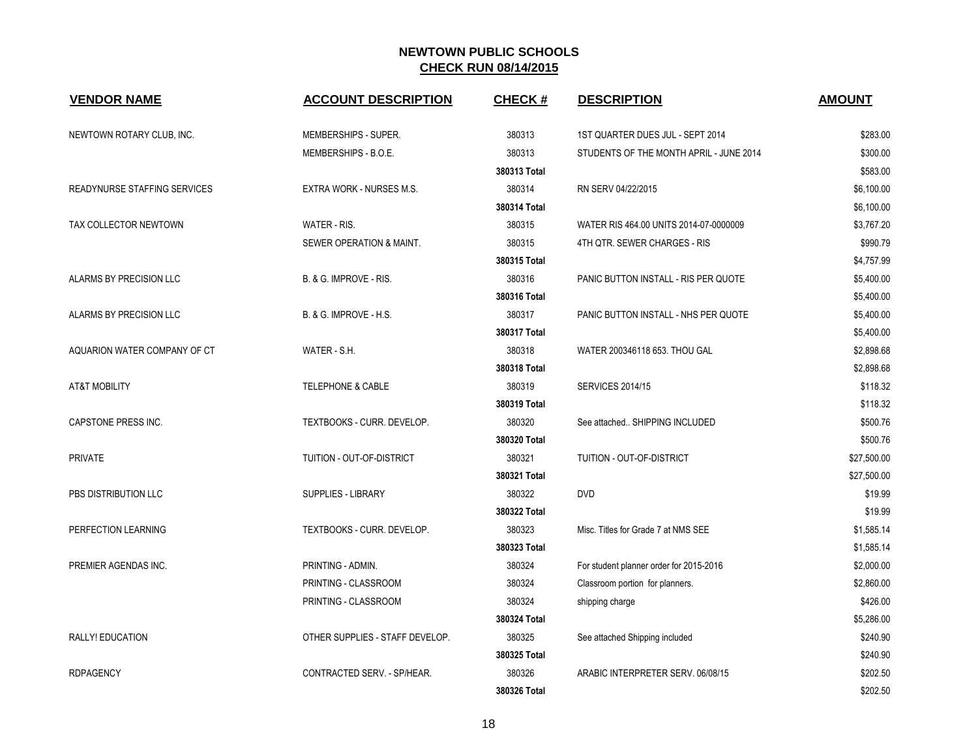| <b>VENDOR NAME</b>           | <b>ACCOUNT DESCRIPTION</b>      | <b>CHECK#</b> | <b>DESCRIPTION</b>                      | <b>AMOUNT</b> |
|------------------------------|---------------------------------|---------------|-----------------------------------------|---------------|
| NEWTOWN ROTARY CLUB, INC.    | MEMBERSHIPS - SUPER.            | 380313        | 1ST QUARTER DUES JUL - SEPT 2014        | \$283.00      |
|                              | MEMBERSHIPS - B.O.E.            | 380313        | STUDENTS OF THE MONTH APRIL - JUNE 2014 | \$300.00      |
|                              |                                 | 380313 Total  |                                         | \$583.00      |
| READYNURSE STAFFING SERVICES | EXTRA WORK - NURSES M.S.        | 380314        | RN SERV 04/22/2015                      | \$6,100.00    |
|                              |                                 | 380314 Total  |                                         | \$6,100.00    |
| TAX COLLECTOR NEWTOWN        | WATER - RIS.                    | 380315        | WATER RIS 464.00 UNITS 2014-07-0000009  | \$3,767.20    |
|                              | SEWER OPERATION & MAINT.        | 380315        | 4TH QTR. SEWER CHARGES - RIS            | \$990.79      |
|                              |                                 | 380315 Total  |                                         | \$4,757.99    |
| ALARMS BY PRECISION LLC      | B. & G. IMPROVE - RIS.          | 380316        | PANIC BUTTON INSTALL - RIS PER QUOTE    | \$5,400.00    |
|                              |                                 | 380316 Total  |                                         | \$5,400.00    |
| ALARMS BY PRECISION LLC      | B. & G. IMPROVE - H.S.          | 380317        | PANIC BUTTON INSTALL - NHS PER QUOTE    | \$5,400.00    |
|                              |                                 | 380317 Total  |                                         | \$5,400.00    |
| AQUARION WATER COMPANY OF CT | WATER - S.H.                    | 380318        | WATER 200346118 653. THOU GAL           | \$2,898.68    |
|                              |                                 | 380318 Total  |                                         | \$2,898.68    |
| <b>AT&amp;T MOBILITY</b>     | <b>TELEPHONE &amp; CABLE</b>    | 380319        | <b>SERVICES 2014/15</b>                 | \$118.32      |
|                              |                                 | 380319 Total  |                                         | \$118.32      |
| CAPSTONE PRESS INC.          | TEXTBOOKS - CURR. DEVELOP.      | 380320        | See attached SHIPPING INCLUDED          | \$500.76      |
|                              |                                 | 380320 Total  |                                         | \$500.76      |
| <b>PRIVATE</b>               | TUITION - OUT-OF-DISTRICT       | 380321        | TUITION - OUT-OF-DISTRICT               | \$27,500.00   |
|                              |                                 | 380321 Total  |                                         | \$27,500.00   |
| PBS DISTRIBUTION LLC         | SUPPLIES - LIBRARY              | 380322        | <b>DVD</b>                              | \$19.99       |
|                              |                                 | 380322 Total  |                                         | \$19.99       |
| PERFECTION LEARNING          | TEXTBOOKS - CURR. DEVELOP.      | 380323        | Misc. Titles for Grade 7 at NMS SEE     | \$1,585.14    |
|                              |                                 | 380323 Total  |                                         | \$1,585.14    |
| PREMIER AGENDAS INC.         | PRINTING - ADMIN.               | 380324        | For student planner order for 2015-2016 | \$2,000.00    |
|                              | PRINTING - CLASSROOM            | 380324        | Classroom portion for planners.         | \$2,860.00    |
|                              | PRINTING - CLASSROOM            | 380324        | shipping charge                         | \$426.00      |
|                              |                                 | 380324 Total  |                                         | \$5,286.00    |
| RALLY! EDUCATION             | OTHER SUPPLIES - STAFF DEVELOP. | 380325        | See attached Shipping included          | \$240.90      |
|                              |                                 | 380325 Total  |                                         | \$240.90      |
| <b>RDPAGENCY</b>             | CONTRACTED SERV. - SP/HEAR.     | 380326        | ARABIC INTERPRETER SERV. 06/08/15       | \$202.50      |
|                              |                                 | 380326 Total  |                                         | \$202.50      |